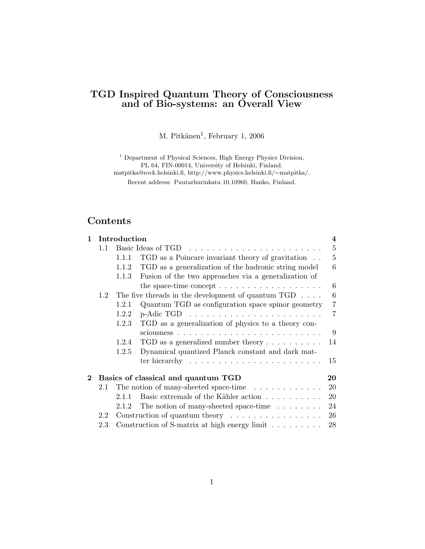# TGD Inspired Quantum Theory of Consciousness and of Bio-systems: an Overall View

M. Pitkänen<sup>1</sup>, February 1, 2006

<sup>1</sup> Department of Physical Sciences, High Energy Physics Division, PL 64, FIN-00014, University of Helsinki, Finland. matpitka@rock.helsinki.fi, http://www.physics.helsinki.fi/∼matpitka/.

Recent address: Puutarhurinkatu 10,10960, Hanko, Finland.

# Contents

| $\mathbf{1}$ | Introduction                              |       |                                                                         | $\bf{4}$       |  |  |
|--------------|-------------------------------------------|-------|-------------------------------------------------------------------------|----------------|--|--|
|              | 1.1                                       |       |                                                                         | $\overline{5}$ |  |  |
|              |                                           | 1.1.1 | TGD as a Poincare invariant theory of gravitation                       | $\overline{5}$ |  |  |
|              |                                           | 1.1.2 | TGD as a generalization of the hadronic string model                    | 6              |  |  |
|              |                                           | 1.1.3 | Fusion of the two approaches via a generalization of                    |                |  |  |
|              |                                           |       | the space-time concept $\dots \dots \dots \dots \dots \dots \dots$      | 6              |  |  |
|              | 1.2                                       |       | The five threads in the development of quantum $TGD \dots$ .            | 6              |  |  |
|              |                                           | 1.2.1 | Quantum TGD as configuration space spinor geometry                      | $\overline{7}$ |  |  |
|              |                                           | 1.2.2 | $p$ -Adic TGD $\ldots \ldots \ldots \ldots \ldots \ldots \ldots \ldots$ | 7              |  |  |
|              |                                           | 1.2.3 | TGD as a generalization of physics to a theory con-                     |                |  |  |
|              |                                           |       |                                                                         | 9              |  |  |
|              |                                           | 1.2.4 | TGD as a generalized number theory $\dots \dots \dots$                  | 14             |  |  |
|              |                                           | 1.2.5 | Dynamical quantized Planck constant and dark mat-                       |                |  |  |
|              |                                           |       | ter hierarchy $\ldots \ldots \ldots \ldots \ldots \ldots \ldots$        | 15             |  |  |
| $\bf{2}$     | Basics of classical and quantum TGD<br>20 |       |                                                                         |                |  |  |
|              | 2.1                                       |       | The notion of many-sheeted space-time                                   | 20             |  |  |
|              |                                           | 2.1.1 | Basic extremals of the Kähler action                                    | 20             |  |  |
|              |                                           | 2.1.2 | The notion of many-sheeted space-time $\ldots \ldots$                   | 24             |  |  |
|              | 2.2                                       |       | Construction of quantum theory $\dots \dots \dots \dots \dots$          | 26             |  |  |
|              | 2.3                                       |       | Construction of S-matrix at high energy limit $\ldots \ldots \ldots$    | 28             |  |  |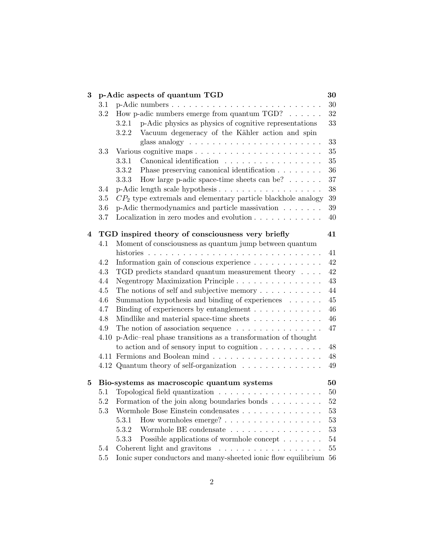| 3              | p-Adic aspects of quantum TGD |                                                                         |        |
|----------------|-------------------------------|-------------------------------------------------------------------------|--------|
|                | 3.1                           |                                                                         | 30     |
|                | 3.2                           | How p-adic numbers emerge from quantum $TGD$ ? $\ldots$                 | $32\,$ |
|                |                               | p-Adic physics as physics of cognitive representations<br>3.2.1         | 33     |
|                |                               | Vacuum degeneracy of the Kähler action and spin<br>3.2.2                |        |
|                |                               |                                                                         | 33     |
|                | 3.3                           |                                                                         | $35\,$ |
|                |                               | 3.3.1<br>Canonical identification                                       | $35\,$ |
|                |                               | 3.3.2<br>Phase preserving canonical identification                      | 36     |
|                |                               | How large p-adic space-time sheets can be? $\dots \dots$<br>3.3.3       | $37\,$ |
|                | 3.4                           |                                                                         | $38\,$ |
|                | 3.5                           | $CP2$ type extremals and elementary particle blackhole analogy          | 39     |
|                | 3.6                           | p-Adic thermodynamics and particle massivation                          | 39     |
|                | 3.7                           | Localization in zero modes and evolution $\ldots \ldots \ldots \ldots$  | 40     |
| $\overline{4}$ |                               | TGD inspired theory of consciousness very briefly                       | 41     |
|                | 4.1                           | Moment of consciousness as quantum jump between quantum                 |        |
|                |                               |                                                                         | 41     |
|                | 4.2                           | Information gain of conscious experience                                | 42     |
|                | 4.3                           | TGD predicts standard quantum measurement theory $\ldots$ .             | 42     |
|                | 4.4                           | Negentropy Maximization Principle                                       | 43     |
|                | 4.5                           | The notions of self and subjective memory $\dots \dots \dots$           | 44     |
|                | 4.6                           | Summation hypothesis and binding of experiences                         | 45     |
|                | 4.7                           | Binding of experiencers by entanglement                                 | $46\,$ |
|                | 4.8                           | Mindlike and material space-time sheets                                 | 46     |
|                | 4.9                           | The notion of association sequence $\ldots \ldots \ldots \ldots \ldots$ | 47     |
|                |                               | 4.10 p-Adic-real phase transitions as a transformation of thought       |        |
|                |                               | to action and of sensory input to cognition $\dots \dots \dots$         | 48     |
|                |                               |                                                                         | 48     |
|                |                               | 4.12 Quantum theory of self-organization                                | 49     |
| 5              |                               | Bio-systems as macroscopic quantum systems                              | 50     |
|                | 5.1                           |                                                                         | 50     |
|                |                               | 5.2 Formation of the join along boundaries bonds                        | $52\,$ |
|                | 5.3                           |                                                                         | 53     |
|                |                               | How wormholes emerge?<br>5.3.1                                          | 53     |
|                |                               | Wormhole BE condensate<br>5.3.2                                         | 53     |
|                |                               | Possible applications of wormhole concept<br>5.3.3                      | $54\,$ |
|                | 5.4                           | Coherent light and gravitons<br>.                                       | $55\,$ |
|                | 5.5                           | Ionic super conductors and many-sheeted ionic flow equilibrium          | 56     |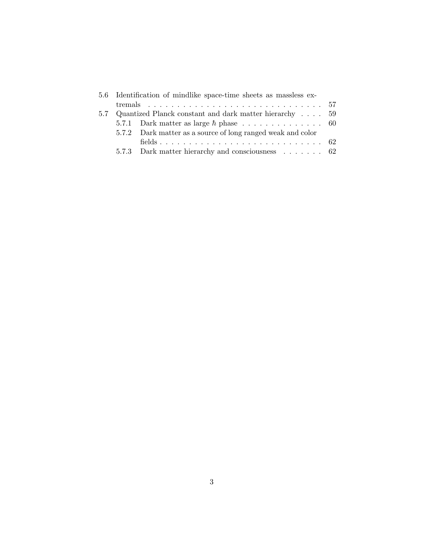|  | 5.6 Identification of mindlike space-time sheets as massless ex- |  |
|--|------------------------------------------------------------------|--|
|  |                                                                  |  |
|  | 5.7 Quantized Planck constant and dark matter hierarchy  59      |  |
|  |                                                                  |  |
|  | 5.7.2 Dark matter as a source of long ranged weak and color      |  |
|  |                                                                  |  |
|  | 5.7.3 Dark matter hierarchy and consciousness 62                 |  |
|  |                                                                  |  |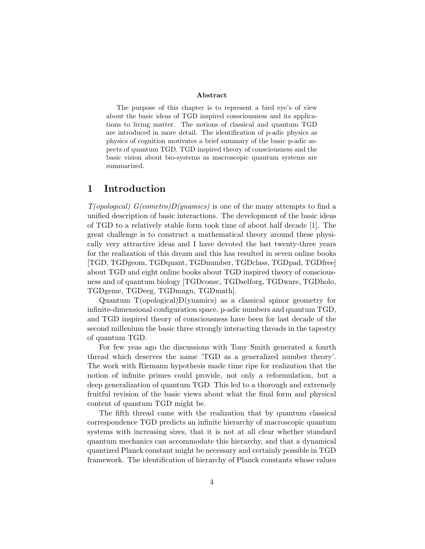#### Abstract

The purpose of this chapter is to represent a bird eye's of view about the basic ideas of TGD inspired consciousness and its applications to living matter. The notions of classical and quantum TGD are introduced in more detail. The identification of p-adic physics as physics of cognition motivates a brief summary of the basic p-adic aspects of quantum TGD. TGD inspired theory of consciousness and the basic vision about bio-systems as macroscopic quantum systems are summarized.

## 1 Introduction

 $T(opological) G(ometric)D(ynamics)$  is one of the many attempts to find a unified description of basic interactions. The development of the basic ideas of TGD to a relatively stable form took time of about half decade [1]. The great challenge is to construct a mathematical theory around these physically very attractive ideas and I have devoted the last twenty-three years for the realization of this dream and this has resulted in seven online books [TGD, TGDgeom, TGDquant, TGDnumber, TGDclass, TGDpad, TGDfree] about TGD and eight online books about TGD inspired theory of consciousness and of quantum biology [TGDconsc, TGDselforg, TGDware, TGDholo, TGDgeme, TGDeeg, TGDmagn, TGDmath].

Quantum T(opological)D(ynamics) as a classical spinor geometry for infinite-dimensional configuration space, p-adic numbers and quantum TGD, and TGD inspired theory of consciousness have been for last decade of the second millenium the basic three strongly interacting threads in the tapestry of quantum TGD.

For few yeas ago the discussions with Tony Smith generated a fourth thread which deserves the name 'TGD as a generalized number theory'. The work with Riemann hypothesis made time ripe for realization that the notion of infinite primes could provide, not only a reformulation, but a deep generalization of quantum TGD. This led to a thorough and extremely fruitful revision of the basic views about what the final form and physical content of quantum TGD might be.

The fifth thread came with the realization that by quantum classical correspondence TGD predicts an infinite hierarchy of macroscopic quantum systems with increasing sizes, that it is not at all clear whether standard quantum mechanics can accommodate this hierarchy, and that a dynamical quantized Planck constant might be necessary and certainly possible in TGD framework. The identification of hierarchy of Planck constants whose values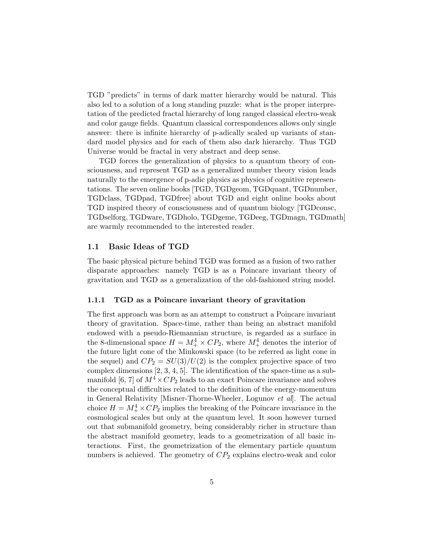TGD "predicts" in terms of dark matter hierarchy would be natural. This also led to a solution of a long standing puzzle: what is the proper interpretation of the predicted fractal hierarchy of long ranged classical electro-weak and color gauge fields. Quantum classical correspondences allows only single answer: there is infinite hierarchy of p-adically scaled up variants of standard model physics and for each of them also dark hierarchy. Thus TGD Universe would be fractal in very abstract and deep sense.

TGD forces the generalization of physics to a quantum theory of consciousness, and represent TGD as a generalized number theory vision leads naturally to the emergence of p-adic physics as physics of cognitive representations. The seven online books [TGD, TGDgeom, TGDquant, TGDnumber, TGDclass, TGDpad, TGDfree] about TGD and eight online books about TGD inspired theory of consciousness and of quantum biology [TGDconsc, TGDselforg, TGDware, TGDholo, TGDgeme, TGDeeg, TGDmagn, TGDmath] are warmly recommended to the interested reader.

### 1.1 Basic Ideas of TGD

The basic physical picture behind TGD was formed as a fusion of two rather disparate approaches: namely TGD is as a Poincare invariant theory of gravitation and TGD as a generalization of the old-fashioned string model.

#### 1.1.1 TGD as a Poincare invariant theory of gravitation

The first approach was born as an attempt to construct a Poincare invariant theory of gravitation. Space-time, rather than being an abstract manifold endowed with a pseudo-Riemannian structure, is regarded as a surface in the 8-dimensional space  $H = M_+^4 \times CP_2$ , where  $M_+^4$  denotes the interior of the future light cone of the Minkowski space (to be referred as light cone in the sequel) and  $CP_2 = SU(3)/U(2)$  is the complex projective space of two complex dimensions [2, 3, 4, 5]. The identification of the space-time as a submanifold [6, 7] of  $M^4 \times CP_2$  leads to an exact Poincare invariance and solves the conceptual difficulties related to the definition of the energy-momentum in General Relativity [Misner-Thorne-Wheeler, Logunov et al]. The actual choice  $H = M_{+}^{4} \times CP_{2}$  implies the breaking of the Poincare invariance in the cosmological scales but only at the quantum level. It soon however turned out that submanifold geometry, being considerably richer in structure than the abstract manifold geometry, leads to a geometrization of all basic interactions. First, the geometrization of the elementary particle quantum numbers is achieved. The geometry of  $CP_2$  explains electro-weak and color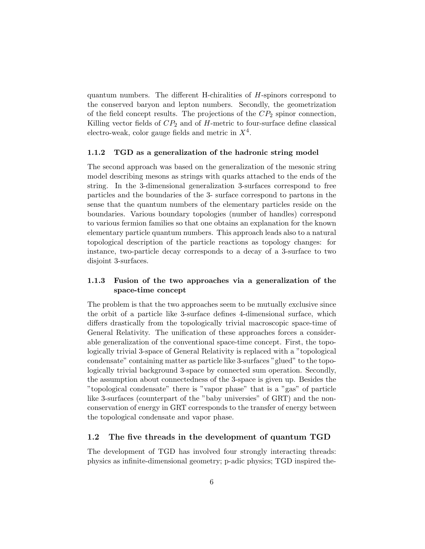quantum numbers. The different H-chiralities of H-spinors correspond to the conserved baryon and lepton numbers. Secondly, the geometrization of the field concept results. The projections of the  $CP<sub>2</sub>$  spinor connection, Killing vector fields of  $CP_2$  and of H-metric to four-surface define classical electro-weak, color gauge fields and metric in  $X^4$ .

#### 1.1.2 TGD as a generalization of the hadronic string model

The second approach was based on the generalization of the mesonic string model describing mesons as strings with quarks attached to the ends of the string. In the 3-dimensional generalization 3-surfaces correspond to free particles and the boundaries of the 3- surface correspond to partons in the sense that the quantum numbers of the elementary particles reside on the boundaries. Various boundary topologies (number of handles) correspond to various fermion families so that one obtains an explanation for the known elementary particle quantum numbers. This approach leads also to a natural topological description of the particle reactions as topology changes: for instance, two-particle decay corresponds to a decay of a 3-surface to two disjoint 3-surfaces.

## 1.1.3 Fusion of the two approaches via a generalization of the space-time concept

The problem is that the two approaches seem to be mutually exclusive since the orbit of a particle like 3-surface defines 4-dimensional surface, which differs drastically from the topologically trivial macroscopic space-time of General Relativity. The unification of these approaches forces a considerable generalization of the conventional space-time concept. First, the topologically trivial 3-space of General Relativity is replaced with a "topological condensate" containing matter as particle like 3-surfaces "glued" to the topologically trivial background 3-space by connected sum operation. Secondly, the assumption about connectedness of the 3-space is given up. Besides the "topological condensate" there is "vapor phase" that is a "gas" of particle like 3-surfaces (counterpart of the "baby universies" of GRT) and the nonconservation of energy in GRT corresponds to the transfer of energy between the topological condensate and vapor phase.

#### 1.2 The five threads in the development of quantum TGD

The development of TGD has involved four strongly interacting threads: physics as infinite-dimensional geometry; p-adic physics; TGD inspired the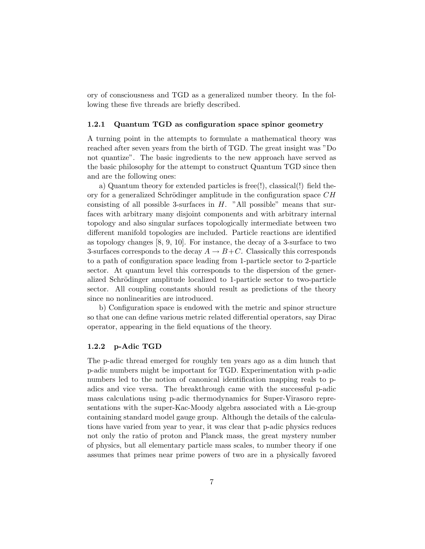ory of consciousness and TGD as a generalized number theory. In the following these five threads are briefly described.

#### 1.2.1 Quantum TGD as configuration space spinor geometry

A turning point in the attempts to formulate a mathematical theory was reached after seven years from the birth of TGD. The great insight was "Do not quantize". The basic ingredients to the new approach have served as the basic philosophy for the attempt to construct Quantum TGD since then and are the following ones:

a) Quantum theory for extended particles is free(!), classical(!) field theory for a generalized Schrödinger amplitude in the configuration space  $CH$ consisting of all possible 3-surfaces in  $H$ . "All possible" means that surfaces with arbitrary many disjoint components and with arbitrary internal topology and also singular surfaces topologically intermediate between two different manifold topologies are included. Particle reactions are identified as topology changes [8, 9, 10]. For instance, the decay of a 3-surface to two 3-surfaces corresponds to the decay  $A \to B+C$ . Classically this corresponds to a path of configuration space leading from 1-particle sector to 2-particle sector. At quantum level this corresponds to the dispersion of the generalized Schrödinger amplitude localized to 1-particle sector to two-particle sector. All coupling constants should result as predictions of the theory since no nonlinearities are introduced.

b) Configuration space is endowed with the metric and spinor structure so that one can define various metric related differential operators, say Dirac operator, appearing in the field equations of the theory.

#### 1.2.2 p-Adic TGD

The p-adic thread emerged for roughly ten years ago as a dim hunch that p-adic numbers might be important for TGD. Experimentation with p-adic numbers led to the notion of canonical identification mapping reals to padics and vice versa. The breakthrough came with the successful p-adic mass calculations using p-adic thermodynamics for Super-Virasoro representations with the super-Kac-Moody algebra associated with a Lie-group containing standard model gauge group. Although the details of the calculations have varied from year to year, it was clear that p-adic physics reduces not only the ratio of proton and Planck mass, the great mystery number of physics, but all elementary particle mass scales, to number theory if one assumes that primes near prime powers of two are in a physically favored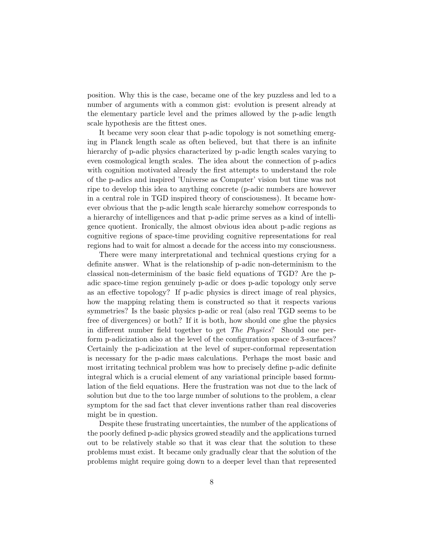position. Why this is the case, became one of the key puzzless and led to a number of arguments with a common gist: evolution is present already at the elementary particle level and the primes allowed by the p-adic length scale hypothesis are the fittest ones.

It became very soon clear that p-adic topology is not something emerging in Planck length scale as often believed, but that there is an infinite hierarchy of p-adic physics characterized by p-adic length scales varying to even cosmological length scales. The idea about the connection of p-adics with cognition motivated already the first attempts to understand the role of the p-adics and inspired 'Universe as Computer' vision but time was not ripe to develop this idea to anything concrete (p-adic numbers are however in a central role in TGD inspired theory of consciousness). It became however obvious that the p-adic length scale hierarchy somehow corresponds to a hierarchy of intelligences and that p-adic prime serves as a kind of intelligence quotient. Ironically, the almost obvious idea about p-adic regions as cognitive regions of space-time providing cognitive representations for real regions had to wait for almost a decade for the access into my consciousness.

There were many interpretational and technical questions crying for a definite answer. What is the relationship of p-adic non-determinism to the classical non-determinism of the basic field equations of TGD? Are the padic space-time region genuinely p-adic or does p-adic topology only serve as an effective topology? If p-adic physics is direct image of real physics, how the mapping relating them is constructed so that it respects various symmetries? Is the basic physics p-adic or real (also real TGD seems to be free of divergences) or both? If it is both, how should one glue the physics in different number field together to get The Physics? Should one perform p-adicization also at the level of the configuration space of 3-surfaces? Certainly the p-adicization at the level of super-conformal representation is necessary for the p-adic mass calculations. Perhaps the most basic and most irritating technical problem was how to precisely define p-adic definite integral which is a crucial element of any variational principle based formulation of the field equations. Here the frustration was not due to the lack of solution but due to the too large number of solutions to the problem, a clear symptom for the sad fact that clever inventions rather than real discoveries might be in question.

Despite these frustrating uncertainties, the number of the applications of the poorly defined p-adic physics growed steadily and the applications turned out to be relatively stable so that it was clear that the solution to these problems must exist. It became only gradually clear that the solution of the problems might require going down to a deeper level than that represented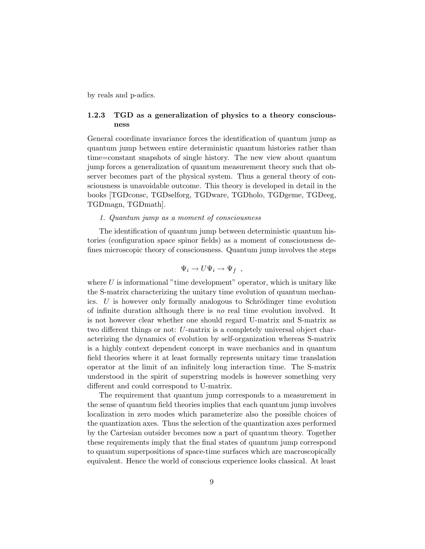by reals and p-adics.

## 1.2.3 TGD as a generalization of physics to a theory consciousness

General coordinate invariance forces the identification of quantum jump as quantum jump between entire deterministic quantum histories rather than time=constant snapshots of single history. The new view about quantum jump forces a generalization of quantum measurement theory such that observer becomes part of the physical system. Thus a general theory of consciousness is unavoidable outcome. This theory is developed in detail in the books [TGDconsc, TGDselforg, TGDware, TGDholo, TGDgeme, TGDeeg, TGDmagn, TGDmath].

## 1. Quantum jump as a moment of consciousness

The identification of quantum jump between deterministic quantum histories (configuration space spinor fields) as a moment of consciousness defines microscopic theory of consciousness. Quantum jump involves the steps

$$
\Psi_i \to U \Psi_i \to \Psi_f ,
$$

where  $U$  is informational "time development" operator, which is unitary like the S-matrix characterizing the unitary time evolution of quantum mechanics.  $U$  is however only formally analogous to Schrödinger time evolution of infinite duration although there is no real time evolution involved. It is not however clear whether one should regard U-matrix and S-matrix as two different things or not: U-matrix is a completely universal object characterizing the dynamics of evolution by self-organization whereas S-matrix is a highly context dependent concept in wave mechanics and in quantum field theories where it at least formally represents unitary time translation operator at the limit of an infinitely long interaction time. The S-matrix understood in the spirit of superstring models is however something very different and could correspond to U-matrix.

The requirement that quantum jump corresponds to a measurement in the sense of quantum field theories implies that each quantum jump involves localization in zero modes which parameterize also the possible choices of the quantization axes. Thus the selection of the quantization axes performed by the Cartesian outsider becomes now a part of quantum theory. Together these requirements imply that the final states of quantum jump correspond to quantum superpositions of space-time surfaces which are macroscopically equivalent. Hence the world of conscious experience looks classical. At least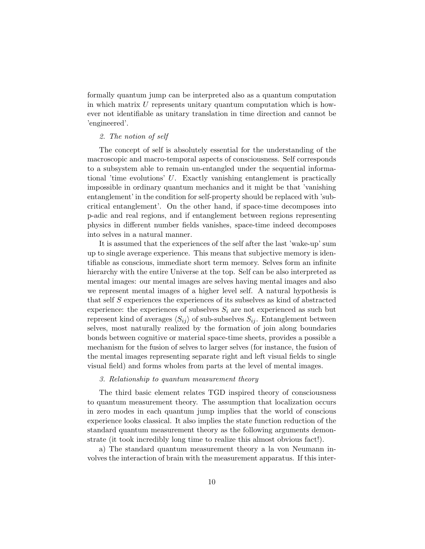formally quantum jump can be interpreted also as a quantum computation in which matrix  $U$  represents unitary quantum computation which is however not identifiable as unitary translation in time direction and cannot be 'engineered'.

## 2. The notion of self

The concept of self is absolutely essential for the understanding of the macroscopic and macro-temporal aspects of consciousness. Self corresponds to a subsystem able to remain un-entangled under the sequential informational 'time evolutions' U. Exactly vanishing entanglement is practically impossible in ordinary quantum mechanics and it might be that 'vanishing entanglement' in the condition for self-property should be replaced with 'subcritical entanglement'. On the other hand, if space-time decomposes into p-adic and real regions, and if entanglement between regions representing physics in different number fields vanishes, space-time indeed decomposes into selves in a natural manner.

It is assumed that the experiences of the self after the last 'wake-up' sum up to single average experience. This means that subjective memory is identifiable as conscious, immediate short term memory. Selves form an infinite hierarchy with the entire Universe at the top. Self can be also interpreted as mental images: our mental images are selves having mental images and also we represent mental images of a higher level self. A natural hypothesis is that self S experiences the experiences of its subselves as kind of abstracted experience: the experiences of subselves  $S_i$  are not experienced as such but represent kind of averages  $\langle S_{ij} \rangle$  of sub-subselves  $S_{ij}$ . Entanglement between selves, most naturally realized by the formation of join along boundaries bonds between cognitive or material space-time sheets, provides a possible a mechanism for the fusion of selves to larger selves (for instance, the fusion of the mental images representing separate right and left visual fields to single visual field) and forms wholes from parts at the level of mental images.

#### 3. Relationship to quantum measurement theory

The third basic element relates TGD inspired theory of consciousness to quantum measurement theory. The assumption that localization occurs in zero modes in each quantum jump implies that the world of conscious experience looks classical. It also implies the state function reduction of the standard quantum measurement theory as the following arguments demonstrate (it took incredibly long time to realize this almost obvious fact!).

a) The standard quantum measurement theory a la von Neumann involves the interaction of brain with the measurement apparatus. If this inter-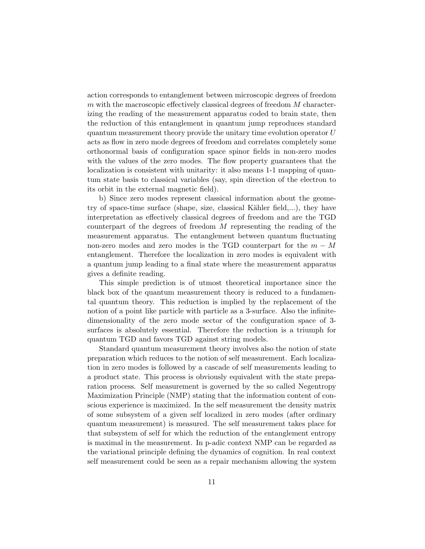action corresponds to entanglement between microscopic degrees of freedom  $m$  with the macroscopic effectively classical degrees of freedom  $M$  characterizing the reading of the measurement apparatus coded to brain state, then the reduction of this entanglement in quantum jump reproduces standard quantum measurement theory provide the unitary time evolution operator  $U$ acts as flow in zero mode degrees of freedom and correlates completely some orthonormal basis of configuration space spinor fields in non-zero modes with the values of the zero modes. The flow property guarantees that the localization is consistent with unitarity: it also means 1-1 mapping of quantum state basis to classical variables (say, spin direction of the electron to its orbit in the external magnetic field).

b) Since zero modes represent classical information about the geometry of space-time surface (shape, size, classical Kähler field,...), they have interpretation as effectively classical degrees of freedom and are the TGD counterpart of the degrees of freedom M representing the reading of the measurement apparatus. The entanglement between quantum fluctuating non-zero modes and zero modes is the TGD counterpart for the  $m - M$ entanglement. Therefore the localization in zero modes is equivalent with a quantum jump leading to a final state where the measurement apparatus gives a definite reading.

This simple prediction is of utmost theoretical importance since the black box of the quantum measurement theory is reduced to a fundamental quantum theory. This reduction is implied by the replacement of the notion of a point like particle with particle as a 3-surface. Also the infinitedimensionality of the zero mode sector of the configuration space of 3 surfaces is absolutely essential. Therefore the reduction is a triumph for quantum TGD and favors TGD against string models.

Standard quantum measurement theory involves also the notion of state preparation which reduces to the notion of self measurement. Each localization in zero modes is followed by a cascade of self measurements leading to a product state. This process is obviously equivalent with the state preparation process. Self measurement is governed by the so called Negentropy Maximization Principle (NMP) stating that the information content of conscious experience is maximized. In the self measurement the density matrix of some subsystem of a given self localized in zero modes (after ordinary quantum measurement) is measured. The self measurement takes place for that subsystem of self for which the reduction of the entanglement entropy is maximal in the measurement. In p-adic context NMP can be regarded as the variational principle defining the dynamics of cognition. In real context self measurement could be seen as a repair mechanism allowing the system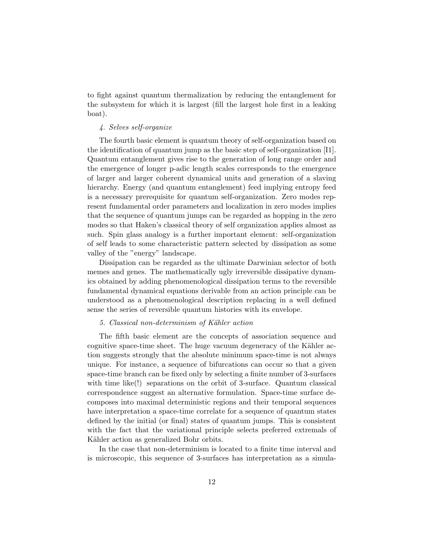to fight against quantum thermalization by reducing the entanglement for the subsystem for which it is largest (fill the largest hole first in a leaking boat).

## 4. Selves self-organize

The fourth basic element is quantum theory of self-organization based on the identification of quantum jump as the basic step of self-organization [I1]. Quantum entanglement gives rise to the generation of long range order and the emergence of longer p-adic length scales corresponds to the emergence of larger and larger coherent dynamical units and generation of a slaving hierarchy. Energy (and quantum entanglement) feed implying entropy feed is a necessary prerequisite for quantum self-organization. Zero modes represent fundamental order parameters and localization in zero modes implies that the sequence of quantum jumps can be regarded as hopping in the zero modes so that Haken's classical theory of self organization applies almost as such. Spin glass analogy is a further important element: self-organization of self leads to some characteristic pattern selected by dissipation as some valley of the "energy" landscape.

Dissipation can be regarded as the ultimate Darwinian selector of both memes and genes. The mathematically ugly irreversible dissipative dynamics obtained by adding phenomenological dissipation terms to the reversible fundamental dynamical equations derivable from an action principle can be understood as a phenomenological description replacing in a well defined sense the series of reversible quantum histories with its envelope.

#### 5. Classical non-determinism of Kähler action

The fifth basic element are the concepts of association sequence and cognitive space-time sheet. The huge vacuum degeneracy of the Kähler action suggests strongly that the absolute minimum space-time is not always unique. For instance, a sequence of bifurcations can occur so that a given space-time branch can be fixed only by selecting a finite number of 3-surfaces with time like(!) separations on the orbit of 3-surface. Quantum classical correspondence suggest an alternative formulation. Space-time surface decomposes into maximal deterministic regions and their temporal sequences have interpretation a space-time correlate for a sequence of quantum states defined by the initial (or final) states of quantum jumps. This is consistent with the fact that the variational principle selects preferred extremals of Kähler action as generalized Bohr orbits.

In the case that non-determinism is located to a finite time interval and is microscopic, this sequence of 3-surfaces has interpretation as a simula-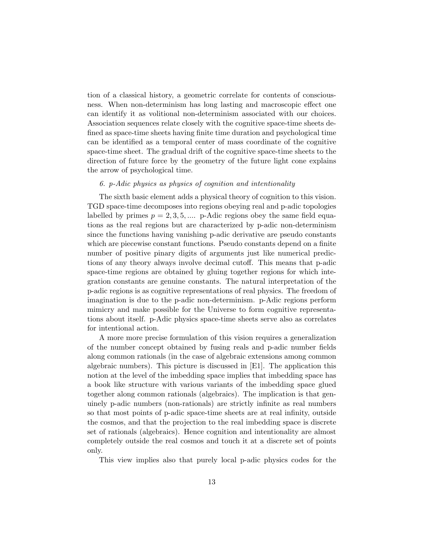tion of a classical history, a geometric correlate for contents of consciousness. When non-determinism has long lasting and macroscopic effect one can identify it as volitional non-determinism associated with our choices. Association sequences relate closely with the cognitive space-time sheets defined as space-time sheets having finite time duration and psychological time can be identified as a temporal center of mass coordinate of the cognitive space-time sheet. The gradual drift of the cognitive space-time sheets to the direction of future force by the geometry of the future light cone explains the arrow of psychological time.

### 6. p-Adic physics as physics of cognition and intentionality

The sixth basic element adds a physical theory of cognition to this vision. TGD space-time decomposes into regions obeying real and p-adic topologies labelled by primes  $p = 2, 3, 5, \dots$  p-Adic regions obey the same field equations as the real regions but are characterized by p-adic non-determinism since the functions having vanishing p-adic derivative are pseudo constants which are piecewise constant functions. Pseudo constants depend on a finite number of positive pinary digits of arguments just like numerical predictions of any theory always involve decimal cutoff. This means that p-adic space-time regions are obtained by gluing together regions for which integration constants are genuine constants. The natural interpretation of the p-adic regions is as cognitive representations of real physics. The freedom of imagination is due to the p-adic non-determinism. p-Adic regions perform mimicry and make possible for the Universe to form cognitive representations about itself. p-Adic physics space-time sheets serve also as correlates for intentional action.

A more more precise formulation of this vision requires a generalization of the number concept obtained by fusing reals and p-adic number fields along common rationals (in the case of algebraic extensions among common algebraic numbers). This picture is discussed in [E1]. The application this notion at the level of the imbedding space implies that imbedding space has a book like structure with various variants of the imbedding space glued together along common rationals (algebraics). The implication is that genuinely p-adic numbers (non-rationals) are strictly infinite as real numbers so that most points of p-adic space-time sheets are at real infinity, outside the cosmos, and that the projection to the real imbedding space is discrete set of rationals (algebraics). Hence cognition and intentionality are almost completely outside the real cosmos and touch it at a discrete set of points only.

This view implies also that purely local p-adic physics codes for the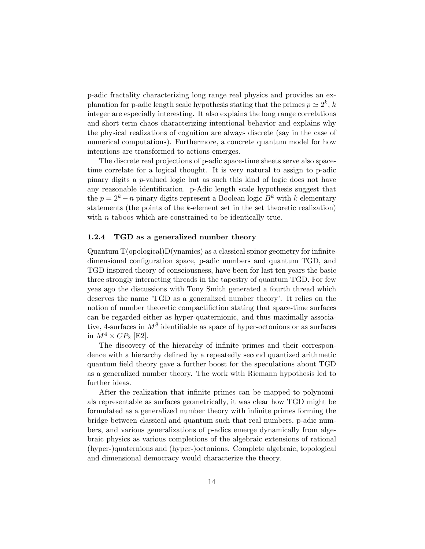p-adic fractality characterizing long range real physics and provides an explanation for p-adic length scale hypothesis stating that the primes  $p \simeq 2^k$ , k integer are especially interesting. It also explains the long range correlations and short term chaos characterizing intentional behavior and explains why the physical realizations of cognition are always discrete (say in the case of numerical computations). Furthermore, a concrete quantum model for how intentions are transformed to actions emerges.

The discrete real projections of p-adic space-time sheets serve also spacetime correlate for a logical thought. It is very natural to assign to p-adic pinary digits a p-valued logic but as such this kind of logic does not have any reasonable identification. p-Adic length scale hypothesis suggest that the  $p = 2<sup>k</sup> - n$  pinary digits represent a Boolean logic  $B<sup>k</sup>$  with k elementary statements (the points of the k-element set in the set theoretic realization) with  $n$  taboos which are constrained to be identically true.

#### 1.2.4 TGD as a generalized number theory

 $\text{Quantum } \mathcal{T}(\text{opological})\mathcal{D}(\text{ynamics})$  as a classical spinor geometry for infinitedimensional configuration space, p-adic numbers and quantum TGD, and TGD inspired theory of consciousness, have been for last ten years the basic three strongly interacting threads in the tapestry of quantum TGD. For few yeas ago the discussions with Tony Smith generated a fourth thread which deserves the name 'TGD as a generalized number theory'. It relies on the notion of number theoretic compactifiction stating that space-time surfaces can be regarded either as hyper-quaternionic, and thus maximally associative, 4-surfaces in  $M^8$  identifiable as space of hyper-octonions or as surfaces in  $M^4 \times CP_2$  [E2].

The discovery of the hierarchy of infinite primes and their correspondence with a hierarchy defined by a repeatedly second quantized arithmetic quantum field theory gave a further boost for the speculations about TGD as a generalized number theory. The work with Riemann hypothesis led to further ideas.

After the realization that infinite primes can be mapped to polynomials representable as surfaces geometrically, it was clear how TGD might be formulated as a generalized number theory with infinite primes forming the bridge between classical and quantum such that real numbers, p-adic numbers, and various generalizations of p-adics emerge dynamically from algebraic physics as various completions of the algebraic extensions of rational (hyper-)quaternions and (hyper-)octonions. Complete algebraic, topological and dimensional democracy would characterize the theory.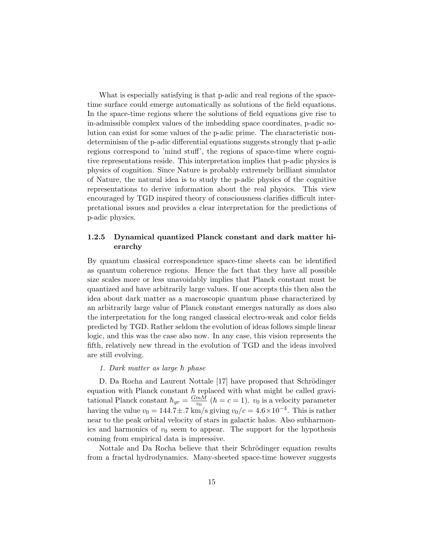What is especially satisfying is that p-adic and real regions of the spacetime surface could emerge automatically as solutions of the field equations. In the space-time regions where the solutions of field equations give rise to in-admissible complex values of the imbedding space coordinates, p-adic solution can exist for some values of the p-adic prime. The characteristic nondeterminism of the p-adic differential equations suggests strongly that p-adic regions correspond to 'mind stuff', the regions of space-time where cognitive representations reside. This interpretation implies that p-adic physics is physics of cognition. Since Nature is probably extremely brilliant simulator of Nature, the natural idea is to study the p-adic physics of the cognitive representations to derive information about the real physics. This view encouraged by TGD inspired theory of consciousness clarifies difficult interpretational issues and provides a clear interpretation for the predictions of p-adic physics.

## 1.2.5 Dynamical quantized Planck constant and dark matter hierarchy

By quantum classical correspondence space-time sheets can be identified as quantum coherence regions. Hence the fact that they have all possible size scales more or less unavoidably implies that Planck constant must be quantized and have arbitrarily large values. If one accepts this then also the idea about dark matter as a macroscopic quantum phase characterized by an arbitrarily large value of Planck constant emerges naturally as does also the interpretation for the long ranged classical electro-weak and color fields predicted by TGD. Rather seldom the evolution of ideas follows simple linear logic, and this was the case also now. In any case, this vision represents the fifth, relatively new thread in the evolution of TGD and the ideas involved are still evolving.

#### 1. Dark matter as large  $\hbar$  phase

D. Da Rocha and Laurent Nottale [17] have proposed that Schrödinger equation with Planck constant  $\hbar$  replaced with what might be called gravitational Planck constant  $\hbar_{gr} = \frac{GmM}{v_0}$  $\frac{mM}{v_0}$  ( $\hbar = c = 1$ ).  $v_0$  is a velocity parameter having the value  $v_0 = 144.7 \pm .7 \text{ km/s}$  giving  $v_0/c = 4.6 \times 10^{-4}$ . This is rather near to the peak orbital velocity of stars in galactic halos. Also subharmonics and harmonics of  $v_0$  seem to appear. The support for the hypothesis coming from empirical data is impressive.

Nottale and Da Rocha believe that their Schrödinger equation results from a fractal hydrodynamics. Many-sheeted space-time however suggests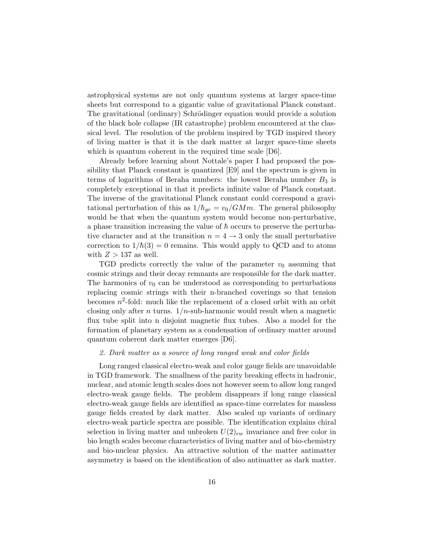astrophysical systems are not only quantum systems at larger space-time sheets but correspond to a gigantic value of gravitational Planck constant. The gravitational (ordinary) Schrödinger equation would provide a solution of the black hole collapse (IR catastrophe) problem encountered at the classical level. The resolution of the problem inspired by TGD inspired theory of living matter is that it is the dark matter at larger space-time sheets which is quantum coherent in the required time scale [D6].

Already before learning about Nottale's paper I had proposed the possibility that Planck constant is quantized [E9] and the spectrum is given in terms of logarithms of Beraha numbers: the lowest Beraha number  $B_3$  is completely exceptional in that it predicts infinite value of Planck constant. The inverse of the gravitational Planck constant could correspond a gravitational perturbation of this as  $1/\hbar_{gr} = v_0/GMm$ . The general philosophy would be that when the quantum system would become non-perturbative, a phase transition increasing the value of  $\hbar$  occurs to preserve the perturbative character and at the transition  $n = 4 \rightarrow 3$  only the small perturbative correction to  $1/\hbar(3) = 0$  remains. This would apply to QCD and to atoms with  $Z > 137$  as well.

TGD predicts correctly the value of the parameter  $v_0$  assuming that cosmic strings and their decay remnants are responsible for the dark matter. The harmonics of  $v_0$  can be understood as corresponding to perturbations replacing cosmic strings with their n-branched coverings so that tension becomes  $n^2$ -fold: much like the replacement of a closed orbit with an orbit closing only after n turns.  $1/n$ -sub-harmonic would result when a magnetic flux tube split into n disjoint magnetic flux tubes. Also a model for the formation of planetary system as a condensation of ordinary matter around quantum coherent dark matter emerges [D6].

#### 2. Dark matter as a source of long ranged weak and color fields

Long ranged classical electro-weak and color gauge fields are unavoidable in TGD framework. The smallness of the parity breaking effects in hadronic, nuclear, and atomic length scales does not however seem to allow long ranged electro-weak gauge fields. The problem disappears if long range classical electro-weak gauge fields are identified as space-time correlates for massless gauge fields created by dark matter. Also scaled up variants of ordinary electro-weak particle spectra are possible. The identification explains chiral selection in living matter and unbroken  $U(2)_{ew}$  invariance and free color in bio length scales become characteristics of living matter and of bio-chemistry and bio-nuclear physics. An attractive solution of the matter antimatter asymmetry is based on the identification of also antimatter as dark matter.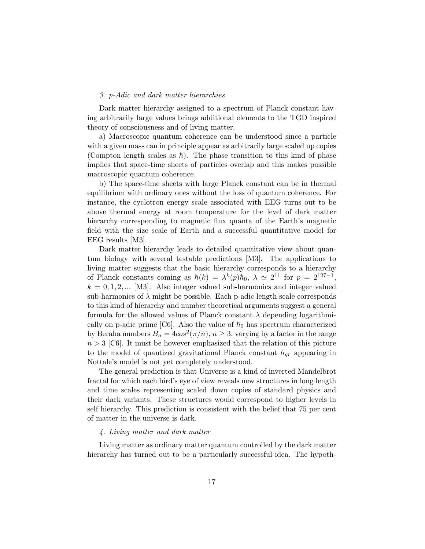#### 3. p-Adic and dark matter hierarchies

Dark matter hierarchy assigned to a spectrum of Planck constant having arbitrarily large values brings additional elements to the TGD inspired theory of consciousness and of living matter.

a) Macroscopic quantum coherence can be understood since a particle with a given mass can in principle appear as arbitrarily large scaled up copies (Compton length scales as  $\hbar$ ). The phase transition to this kind of phase implies that space-time sheets of particles overlap and this makes possible macroscopic quantum coherence.

b) The space-time sheets with large Planck constant can be in thermal equilibrium with ordinary ones without the loss of quantum coherence. For instance, the cyclotron energy scale associated with EEG turns out to be above thermal energy at room temperature for the level of dark matter hierarchy corresponding to magnetic flux quanta of the Earth's magnetic field with the size scale of Earth and a successful quantitative model for EEG results [M3].

Dark matter hierarchy leads to detailed quantitative view about quantum biology with several testable predictions [M3]. The applications to living matter suggests that the basic hierarchy corresponds to a hierarchy of Planck constants coming as  $\hbar(k) = \lambda^k(p)\hbar_0$ ,  $\lambda \simeq 2^{11}$  for  $p = 2^{127-1}$ ,  $k = 0, 1, 2, \dots$  [M3]. Also integer valued sub-harmonics and integer valued sub-harmonics of  $\lambda$  might be possible. Each p-adic length scale corresponds to this kind of hierarchy and number theoretical arguments suggest a general formula for the allowed values of Planck constant  $\lambda$  depending logarithmically on p-adic prime [C6]. Also the value of  $\hbar_0$  has spectrum characterized by Beraha numbers  $B_n = 4\cos^2(\pi/n)$ ,  $n \ge 3$ , varying by a factor in the range  $n > 3$  [C6]. It must be however emphasized that the relation of this picture to the model of quantized gravitational Planck constant  $h_{qr}$  appearing in Nottale's model is not yet completely understood.

The general prediction is that Universe is a kind of inverted Mandelbrot fractal for which each bird's eye of view reveals new structures in long length and time scales representing scaled down copies of standard physics and their dark variants. These structures would correspond to higher levels in self hierarchy. This prediction is consistent with the belief that 75 per cent of matter in the universe is dark.

#### 4. Living matter and dark matter

Living matter as ordinary matter quantum controlled by the dark matter hierarchy has turned out to be a particularly successful idea. The hypoth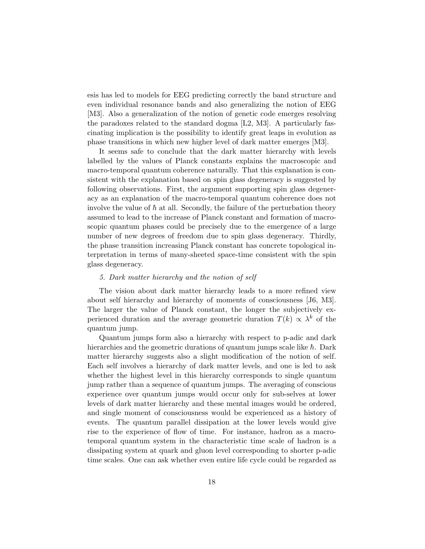esis has led to models for EEG predicting correctly the band structure and even individual resonance bands and also generalizing the notion of EEG [M3]. Also a generalization of the notion of genetic code emerges resolving the paradoxes related to the standard dogma [L2, M3]. A particularly fascinating implication is the possibility to identify great leaps in evolution as phase transitions in which new higher level of dark matter emerges [M3].

It seems safe to conclude that the dark matter hierarchy with levels labelled by the values of Planck constants explains the macroscopic and macro-temporal quantum coherence naturally. That this explanation is consistent with the explanation based on spin glass degeneracy is suggested by following observations. First, the argument supporting spin glass degeneracy as an explanation of the macro-temporal quantum coherence does not involve the value of  $\hbar$  at all. Secondly, the failure of the perturbation theory assumed to lead to the increase of Planck constant and formation of macroscopic quantum phases could be precisely due to the emergence of a large number of new degrees of freedom due to spin glass degeneracy. Thirdly, the phase transition increasing Planck constant has concrete topological interpretation in terms of many-sheeted space-time consistent with the spin glass degeneracy.

### 5. Dark matter hierarchy and the notion of self

The vision about dark matter hierarchy leads to a more refined view about self hierarchy and hierarchy of moments of consciousness [J6, M3]. The larger the value of Planck constant, the longer the subjectively experienced duration and the average geometric duration  $T(k) \propto \lambda^k$  of the quantum jump.

Quantum jumps form also a hierarchy with respect to p-adic and dark hierarchies and the geometric durations of quantum jumps scale like  $\hbar$ . Dark matter hierarchy suggests also a slight modification of the notion of self. Each self involves a hierarchy of dark matter levels, and one is led to ask whether the highest level in this hierarchy corresponds to single quantum jump rather than a sequence of quantum jumps. The averaging of conscious experience over quantum jumps would occur only for sub-selves at lower levels of dark matter hierarchy and these mental images would be ordered, and single moment of consciousness would be experienced as a history of events. The quantum parallel dissipation at the lower levels would give rise to the experience of flow of time. For instance, hadron as a macrotemporal quantum system in the characteristic time scale of hadron is a dissipating system at quark and gluon level corresponding to shorter p-adic time scales. One can ask whether even entire life cycle could be regarded as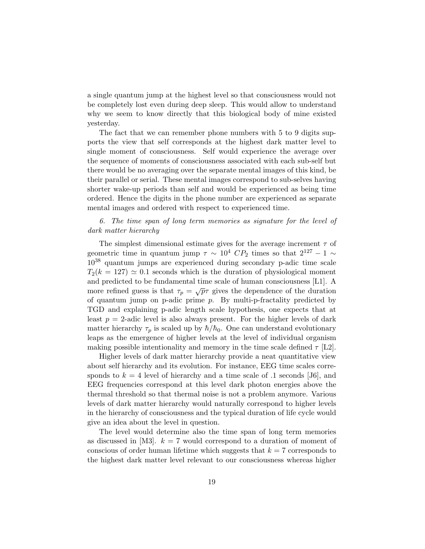a single quantum jump at the highest level so that consciousness would not be completely lost even during deep sleep. This would allow to understand why we seem to know directly that this biological body of mine existed yesterday.

The fact that we can remember phone numbers with 5 to 9 digits supports the view that self corresponds at the highest dark matter level to single moment of consciousness. Self would experience the average over the sequence of moments of consciousness associated with each sub-self but there would be no averaging over the separate mental images of this kind, be their parallel or serial. These mental images correspond to sub-selves having shorter wake-up periods than self and would be experienced as being time ordered. Hence the digits in the phone number are experienced as separate mental images and ordered with respect to experienced time.

## 6. The time span of long term memories as signature for the level of dark matter hierarchy

The simplest dimensional estimate gives for the average increment  $\tau$  of geometric time in quantum jump  $\tau \sim 10^4$  CP<sub>2</sub> times so that  $2^{127} - 1 \sim$  $10^{38}$  quantum jumps are experienced during secondary p-adic time scale  $T_2(k = 127) \simeq 0.1$  seconds which is the duration of physiological moment and predicted to be fundamental time scale of human consciousness [L1]. A more refined guess is that  $\tau_p = \sqrt{p}\tau$  gives the dependence of the duration of quantum jump on p-adic prime  $p$ . By multi-p-fractality predicted by TGD and explaining p-adic length scale hypothesis, one expects that at least  $p = 2$ -adic level is also always present. For the higher levels of dark matter hierarchy  $\tau_p$  is scaled up by  $\hbar/\hbar_0$ . One can understand evolutionary leaps as the emergence of higher levels at the level of individual organism making possible intentionality and memory in the time scale defined  $\tau$  [L2].

Higher levels of dark matter hierarchy provide a neat quantitative view about self hierarchy and its evolution. For instance, EEG time scales corresponds to  $k = 4$  level of hierarchy and a time scale of .1 seconds [J6], and EEG frequencies correspond at this level dark photon energies above the thermal threshold so that thermal noise is not a problem anymore. Various levels of dark matter hierarchy would naturally correspond to higher levels in the hierarchy of consciousness and the typical duration of life cycle would give an idea about the level in question.

The level would determine also the time span of long term memories as discussed in [M3].  $k = 7$  would correspond to a duration of moment of conscious of order human lifetime which suggests that  $k = 7$  corresponds to the highest dark matter level relevant to our consciousness whereas higher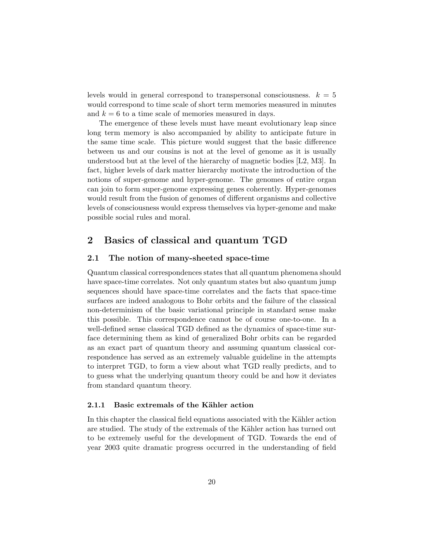levels would in general correspond to transpersonal consciousness.  $k = 5$ would correspond to time scale of short term memories measured in minutes and  $k = 6$  to a time scale of memories measured in days.

The emergence of these levels must have meant evolutionary leap since long term memory is also accompanied by ability to anticipate future in the same time scale. This picture would suggest that the basic difference between us and our cousins is not at the level of genome as it is usually understood but at the level of the hierarchy of magnetic bodies [L2, M3]. In fact, higher levels of dark matter hierarchy motivate the introduction of the notions of super-genome and hyper-genome. The genomes of entire organ can join to form super-genome expressing genes coherently. Hyper-genomes would result from the fusion of genomes of different organisms and collective levels of consciousness would express themselves via hyper-genome and make possible social rules and moral.

# 2 Basics of classical and quantum TGD

### 2.1 The notion of many-sheeted space-time

Quantum classical correspondences states that all quantum phenomena should have space-time correlates. Not only quantum states but also quantum jump sequences should have space-time correlates and the facts that space-time surfaces are indeed analogous to Bohr orbits and the failure of the classical non-determinism of the basic variational principle in standard sense make this possible. This correspondence cannot be of course one-to-one. In a well-defined sense classical TGD defined as the dynamics of space-time surface determining them as kind of generalized Bohr orbits can be regarded as an exact part of quantum theory and assuming quantum classical correspondence has served as an extremely valuable guideline in the attempts to interpret TGD, to form a view about what TGD really predicts, and to to guess what the underlying quantum theory could be and how it deviates from standard quantum theory.

## 2.1.1 Basic extremals of the Kähler action

In this chapter the classical field equations associated with the Kähler action are studied. The study of the extremals of the Kähler action has turned out to be extremely useful for the development of TGD. Towards the end of year 2003 quite dramatic progress occurred in the understanding of field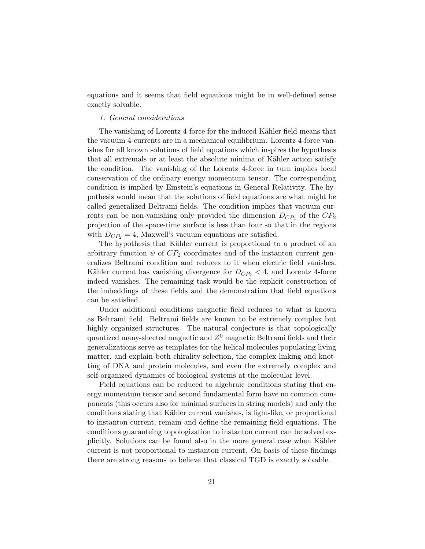equations and it seems that field equations might be in well-defined sense exactly solvable.

#### 1. General considerations

The vanishing of Lorentz 4-force for the induced Kähler field means that the vacuum 4-currents are in a mechanical equilibrium. Lorentz 4-force vanishes for all known solutions of field equations which inspires the hypothesis that all extremals or at least the absolute minima of Kähler action satisfy the condition. The vanishing of the Lorentz 4-force in turn implies local conservation of the ordinary energy momentum tensor. The corresponding condition is implied by Einstein's equations in General Relativity. The hypothesis would mean that the solutions of field equations are what might be called generalized Beltrami fields. The condition implies that vacuum currents can be non-vanishing only provided the dimension  $D_{CP_2}$  of the  $CP_2$ projection of the space-time surface is less than four so that in the regions with  $D_{CP_2} = 4$ , Maxwell's vacuum equations are satisfied.

The hypothesis that Kähler current is proportional to a product of an arbitrary function  $\psi$  of  $CP_2$  coordinates and of the instanton current generalizes Beltrami condition and reduces to it when electric field vanishes. Kähler current has vanishing divergence for  $D_{CP_2} < 4$ , and Lorentz 4-force indeed vanishes. The remaining task would be the explicit construction of the imbeddings of these fields and the demonstration that field equations can be satisfied.

Under additional conditions magnetic field reduces to what is known as Beltrami field. Beltrami fields are known to be extremely complex but highly organized structures. The natural conjecture is that topologically quantized many-sheeted magnetic and  $Z^0$  magnetic Beltrami fields and their generalizations serve as templates for the helical molecules populating living matter, and explain both chirality selection, the complex linking and knotting of DNA and protein molecules, and even the extremely complex and self-organized dynamics of biological systems at the molecular level.

Field equations can be reduced to algebraic conditions stating that energy momentum tensor and second fundamental form have no common components (this occurs also for minimal surfaces in string models) and only the conditions stating that Kähler current vanishes, is light-like, or proportional to instanton current, remain and define the remaining field equations. The conditions guaranteing topologization to instanton current can be solved explicitly. Solutions can be found also in the more general case when Kähler current is not proportional to instanton current. On basis of these findings there are strong reasons to believe that classical TGD is exactly solvable.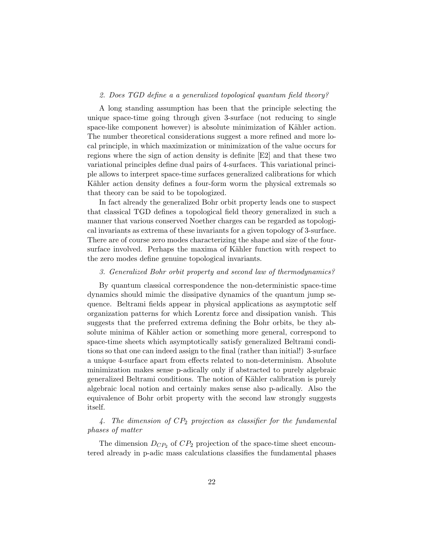## 2. Does TGD define a a generalized topological quantum field theory?

A long standing assumption has been that the principle selecting the unique space-time going through given 3-surface (not reducing to single space-like component however) is absolute minimization of Kähler action. The number theoretical considerations suggest a more refined and more local principle, in which maximization or minimization of the value occurs for regions where the sign of action density is definite [E2] and that these two variational principles define dual pairs of 4-surfaces. This variational principle allows to interpret space-time surfaces generalized calibrations for which Kähler action density defines a four-form worm the physical extremals so that theory can be said to be topologized.

In fact already the generalized Bohr orbit property leads one to suspect that classical TGD defines a topological field theory generalized in such a manner that various conserved Noether charges can be regarded as topological invariants as extrema of these invariants for a given topology of 3-surface. There are of course zero modes characterizing the shape and size of the foursurface involved. Perhaps the maxima of Kähler function with respect to the zero modes define genuine topological invariants.

#### 3. Generalized Bohr orbit property and second law of thermodynamics?

By quantum classical correspondence the non-deterministic space-time dynamics should mimic the dissipative dynamics of the quantum jump sequence. Beltrami fields appear in physical applications as asymptotic self organization patterns for which Lorentz force and dissipation vanish. This suggests that the preferred extrema defining the Bohr orbits, be they absolute minima of Kähler action or something more general, correspond to space-time sheets which asymptotically satisfy generalized Beltrami conditions so that one can indeed assign to the final (rather than initial!) 3-surface a unique 4-surface apart from effects related to non-determinism. Absolute minimization makes sense p-adically only if abstracted to purely algebraic generalized Beltrami conditions. The notion of Kähler calibration is purely algebraic local notion and certainly makes sense also p-adically. Also the equivalence of Bohr orbit property with the second law strongly suggests itself.

## 4. The dimension of  $CP_2$  projection as classifier for the fundamental phases of matter

The dimension  $D_{CP_2}$  of  $CP_2$  projection of the space-time sheet encountered already in p-adic mass calculations classifies the fundamental phases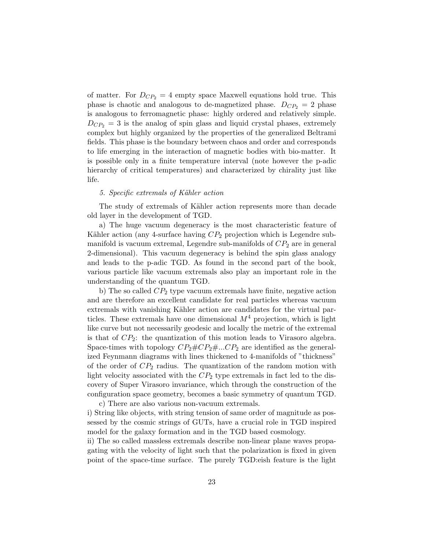of matter. For  $D_{CP_2} = 4$  empty space Maxwell equations hold true. This phase is chaotic and analogous to de-magnetized phase.  $D_{CP_2} = 2$  phase is analogous to ferromagnetic phase: highly ordered and relatively simple.  $D_{CP_2} = 3$  is the analog of spin glass and liquid crystal phases, extremely complex but highly organized by the properties of the generalized Beltrami fields. This phase is the boundary between chaos and order and corresponds to life emerging in the interaction of magnetic bodies with bio-matter. It is possible only in a finite temperature interval (note however the p-adic hierarchy of critical temperatures) and characterized by chirality just like life.

#### 5. Specific extremals of Kähler action

The study of extremals of Kähler action represents more than decade old layer in the development of TGD.

a) The huge vacuum degeneracy is the most characteristic feature of Kähler action (any 4-surface having  $CP_2$  projection which is Legendre submanifold is vacuum extremal, Legendre sub-manifolds of  $CP<sub>2</sub>$  are in general 2-dimensional). This vacuum degeneracy is behind the spin glass analogy and leads to the p-adic TGD. As found in the second part of the book, various particle like vacuum extremals also play an important role in the understanding of the quantum TGD.

b) The so called  $CP_2$  type vacuum extremals have finite, negative action and are therefore an excellent candidate for real particles whereas vacuum extremals with vanishing Kähler action are candidates for the virtual particles. These extremals have one dimensional  $M<sup>4</sup>$  projection, which is light like curve but not necessarily geodesic and locally the metric of the extremal is that of  $CP_2$ : the quantization of this motion leads to Virasoro algebra. Space-times with topology  $CP_2 \# CP_2 \# ... CP_2$  are identified as the generalized Feynmann diagrams with lines thickened to 4-manifolds of "thickness" of the order of  $CP_2$  radius. The quantization of the random motion with light velocity associated with the  $CP_2$  type extremals in fact led to the discovery of Super Virasoro invariance, which through the construction of the configuration space geometry, becomes a basic symmetry of quantum TGD. c) There are also various non-vacuum extremals.

i) String like objects, with string tension of same order of magnitude as possessed by the cosmic strings of GUTs, have a crucial role in TGD inspired model for the galaxy formation and in the TGD based cosmology.

ii) The so called massless extremals describe non-linear plane waves propagating with the velocity of light such that the polarization is fixed in given point of the space-time surface. The purely TGD:eish feature is the light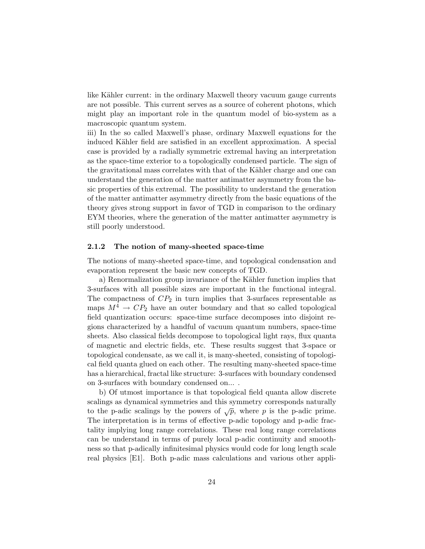like Kähler current: in the ordinary Maxwell theory vacuum gauge currents are not possible. This current serves as a source of coherent photons, which might play an important role in the quantum model of bio-system as a macroscopic quantum system.

iii) In the so called Maxwell's phase, ordinary Maxwell equations for the induced Kähler field are satisfied in an excellent approximation. A special case is provided by a radially symmetric extremal having an interpretation as the space-time exterior to a topologically condensed particle. The sign of the gravitational mass correlates with that of the Kähler charge and one can understand the generation of the matter antimatter asymmetry from the basic properties of this extremal. The possibility to understand the generation of the matter antimatter asymmetry directly from the basic equations of the theory gives strong support in favor of TGD in comparison to the ordinary EYM theories, where the generation of the matter antimatter asymmetry is still poorly understood.

#### 2.1.2 The notion of many-sheeted space-time

The notions of many-sheeted space-time, and topological condensation and evaporation represent the basic new concepts of TGD.

a) Renormalization group invariance of the Kähler function implies that 3-surfaces with all possible sizes are important in the functional integral. The compactness of  $CP_2$  in turn implies that 3-surfaces representable as maps  $M^4 \to CP_2$  have an outer boundary and that so called topological field quantization occurs: space-time surface decomposes into disjoint regions characterized by a handful of vacuum quantum numbers, space-time sheets. Also classical fields decompose to topological light rays, flux quanta of magnetic and electric fields, etc. These results suggest that 3-space or topological condensate, as we call it, is many-sheeted, consisting of topological field quanta glued on each other. The resulting many-sheeted space-time has a hierarchical, fractal like structure: 3-surfaces with boundary condensed on 3-surfaces with boundary condensed on... .

b) Of utmost importance is that topological field quanta allow discrete scalings as dynamical symmetries and this symmetry corresponds naturally to the p-adic scalings by the powers of  $\sqrt{p}$ , where p is the p-adic prime. The interpretation is in terms of effective p-adic topology and p-adic fractality implying long range correlations. These real long range correlations can be understand in terms of purely local p-adic continuity and smoothness so that p-adically infinitesimal physics would code for long length scale real physics [E1]. Both p-adic mass calculations and various other appli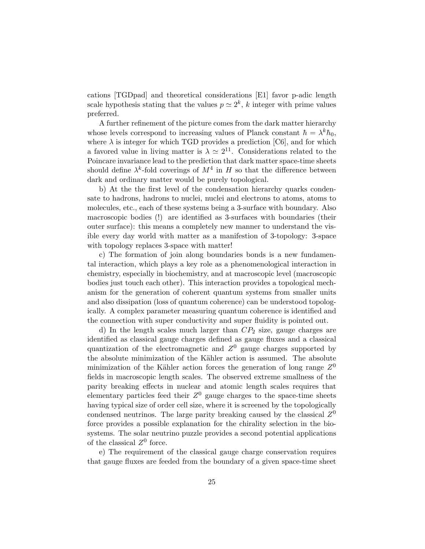cations [TGDpad] and theoretical considerations [E1] favor p-adic length scale hypothesis stating that the values  $p \simeq 2^k$ , k integer with prime values preferred.

A further refinement of the picture comes from the dark matter hierarchy whose levels correspond to increasing values of Planck constant  $\hbar = \lambda^k \hbar_0$ , where  $\lambda$  is integer for which TGD provides a prediction [C6], and for which a favored value in living matter is  $\lambda \simeq 2^{11}$ . Considerations related to the Poincare invariance lead to the prediction that dark matter space-time sheets should define  $\lambda^k$ -fold coverings of  $M^4$  in H so that the difference between dark and ordinary matter would be purely topological.

b) At the the first level of the condensation hierarchy quarks condensate to hadrons, hadrons to nuclei, nuclei and electrons to atoms, atoms to molecules, etc., each of these systems being a 3-surface with boundary. Also macroscopic bodies (!) are identified as 3-surfaces with boundaries (their outer surface): this means a completely new manner to understand the visible every day world with matter as a manifestion of 3-topology: 3-space with topology replaces 3-space with matter!

c) The formation of join along boundaries bonds is a new fundamental interaction, which plays a key role as a phenomenological interaction in chemistry, especially in biochemistry, and at macroscopic level (macroscopic bodies just touch each other). This interaction provides a topological mechanism for the generation of coherent quantum systems from smaller units and also dissipation (loss of quantum coherence) can be understood topologically. A complex parameter measuring quantum coherence is identified and the connection with super conductivity and super fluidity is pointed out.

d) In the length scales much larger than  $CP_2$  size, gauge charges are identified as classical gauge charges defined as gauge fluxes and a classical quantization of the electromagnetic and  $Z<sup>0</sup>$  gauge charges supported by the absolute minimization of the Kähler action is assumed. The absolute minimization of the Kähler action forces the generation of long range  $Z^0$ fields in macroscopic length scales. The observed extreme smallness of the parity breaking effects in nuclear and atomic length scales requires that elementary particles feed their  $Z^0$  gauge charges to the space-time sheets having typical size of order cell size, where it is screened by the topologically condensed neutrinos. The large parity breaking caused by the classical  $Z^0$ force provides a possible explanation for the chirality selection in the biosystems. The solar neutrino puzzle provides a second potential applications of the classical  $Z^0$  force.

e) The requirement of the classical gauge charge conservation requires that gauge fluxes are feeded from the boundary of a given space-time sheet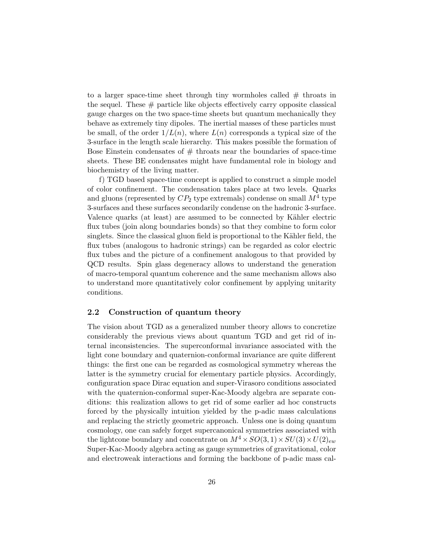to a larger space-time sheet through tiny wormholes called  $#$  throats in the sequel. These  $#$  particle like objects effectively carry opposite classical gauge charges on the two space-time sheets but quantum mechanically they behave as extremely tiny dipoles. The inertial masses of these particles must be small, of the order  $1/L(n)$ , where  $L(n)$  corresponds a typical size of the 3-surface in the length scale hierarchy. This makes possible the formation of Bose Einstein condensates of  $#$  throats near the boundaries of space-time sheets. These BE condensates might have fundamental role in biology and biochemistry of the living matter.

f) TGD based space-time concept is applied to construct a simple model of color confinement. The condensation takes place at two levels. Quarks and gluons (represented by  $CP_2$  type extremals) condense on small  $M^4$  type 3-surfaces and these surfaces secondarily condense on the hadronic 3-surface. Valence quarks (at least) are assumed to be connected by Kähler electric flux tubes (join along boundaries bonds) so that they combine to form color singlets. Since the classical gluon field is proportional to the Kähler field, the flux tubes (analogous to hadronic strings) can be regarded as color electric flux tubes and the picture of a confinement analogous to that provided by QCD results. Spin glass degeneracy allows to understand the generation of macro-temporal quantum coherence and the same mechanism allows also to understand more quantitatively color confinement by applying unitarity conditions.

## 2.2 Construction of quantum theory

The vision about TGD as a generalized number theory allows to concretize considerably the previous views about quantum TGD and get rid of internal inconsistencies. The superconformal invariance associated with the light cone boundary and quaternion-conformal invariance are quite different things: the first one can be regarded as cosmological symmetry whereas the latter is the symmetry crucial for elementary particle physics. Accordingly, configuration space Dirac equation and super-Virasoro conditions associated with the quaternion-conformal super-Kac-Moody algebra are separate conditions: this realization allows to get rid of some earlier ad hoc constructs forced by the physically intuition yielded by the p-adic mass calculations and replacing the strictly geometric approach. Unless one is doing quantum cosmology, one can safely forget supercanonical symmetries associated with the lightcone boundary and concentrate on  $M^4 \times SO(3, 1) \times SU(3) \times U(2)_{env}$ Super-Kac-Moody algebra acting as gauge symmetries of gravitational, color and electroweak interactions and forming the backbone of p-adic mass cal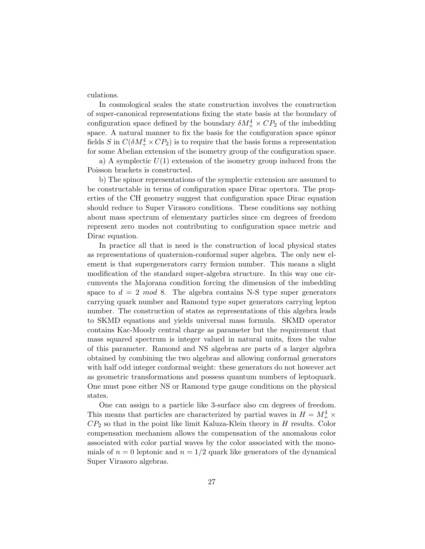culations.

In cosmological scales the state construction involves the construction of super-canonical representations fixing the state basis at the boundary of configuration space defined by the boundary  $\delta M_+^4 \times CP_2$  of the imbedding space. A natural manner to fix the basis for the configuration space spinor fields S in  $C(\delta M_+^4 \times CP_2)$  is to require that the basis forms a representation for some Abelian extension of the isometry group of the configuration space.

a) A symplectic  $U(1)$  extension of the isometry group induced from the Poisson brackets is constructed.

b) The spinor representations of the symplectic extension are assumed to be constructable in terms of configuration space Dirac opertora. The properties of the CH geometry suggest that configuration space Dirac equation should reduce to Super Virasoro conditions. These conditions say nothing about mass spectrum of elementary particles since cm degrees of freedom represent zero modes not contributing to configuration space metric and Dirac equation.

In practice all that is need is the construction of local physical states as representations of quaternion-conformal super algebra. The only new element is that supergenerators carry fermion number. This means a slight modification of the standard super-algebra structure. In this way one circumvents the Majorana condition forcing the dimension of the imbedding space to  $d = 2 \mod 8$ . The algebra contains N-S type super generators carrying quark number and Ramond type super generators carrying lepton number. The construction of states as representations of this algebra leads to SKMD equations and yields universal mass formula. SKMD operator contains Kac-Moody central charge as parameter but the requirement that mass squared spectrum is integer valued in natural units, fixes the value of this parameter. Ramond and NS algebras are parts of a larger algebra obtained by combining the two algebras and allowing conformal generators with half odd integer conformal weight: these generators do not however act as geometric transformations and possess quantum numbers of leptoquark. One must pose either NS or Ramond type gauge conditions on the physical states.

One can assign to a particle like 3-surface also cm degrees of freedom. This means that particles are characterized by partial waves in  $H = M_{+}^{4} \times$  $CP<sub>2</sub>$  so that in the point like limit Kaluza-Klein theory in  $H$  results. Color compensation mechanism allows the compensation of the anomalous color associated with color partial waves by the color associated with the monomials of  $n = 0$  leptonic and  $n = 1/2$  quark like generators of the dynamical Super Virasoro algebras.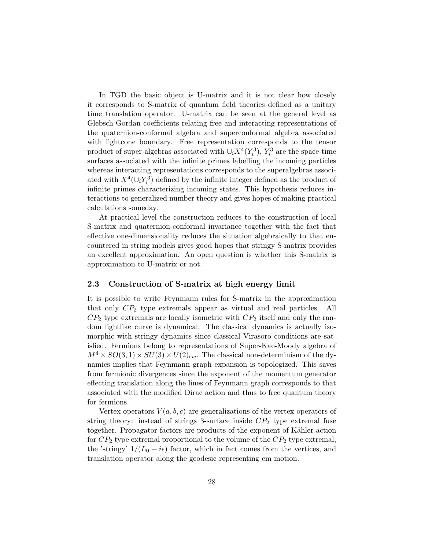In TGD the basic object is U-matrix and it is not clear how closely it corresponds to S-matrix of quantum field theories defined as a unitary time translation operator. U-matrix can be seen at the general level as Glebsch-Gordan coefficients relating free and interacting representations of the quaternion-conformal algebra and superconformal algebra associated with lightcone boundary. Free representation corresponds to the tensor product of super-algebras associated with  $\cup_i X^4(Y_i^3)$ ,  $Y_i^3$  are the space-time surfaces associated with the infinite primes labelling the incoming particles whereas interacting representations corresponds to the superalgebras associated with  $X^4(\cup_i Y_i^3)$  defined by the infinite integer defined as the product of infinite primes characterizing incoming states. This hypothesis reduces interactions to generalized number theory and gives hopes of making practical calculations someday.

At practical level the construction reduces to the construction of local S-matrix and quaternion-conformal invariance together with the fact that effective one-dimensionality reduces the situation algebraically to that encountered in string models gives good hopes that stringy S-matrix provides an excellent approximation. An open question is whether this S-matrix is approximation to U-matrix or not.

## 2.3 Construction of S-matrix at high energy limit

It is possible to write Feynmann rules for S-matrix in the approximation that only  $CP_2$  type extremals appear as virtual and real particles. All  $CP<sub>2</sub>$  type extremals are locally isometric with  $CP<sub>2</sub>$  itself and only the random lightlike curve is dynamical. The classical dynamics is actually isomorphic with stringy dynamics since classical Virasoro conditions are satisfied. Fermions belong to representations of Super-Kac-Moody algebra of  $M^4 \times SO(3,1) \times SU(3) \times U(2)_{ew}$ . The classical non-determinism of the dynamics implies that Feynmann graph expansion is topologized. This saves from fermionic divergences since the exponent of the momentum generator effecting translation along the lines of Feynmann graph corresponds to that associated with the modified Dirac action and thus to free quantum theory for fermions.

Vertex operators  $V(a, b, c)$  are generalizations of the vertex operators of string theory: instead of strings 3-surface inside  $CP<sub>2</sub>$  type extremal fuse together. Propagator factors are products of the exponent of Kähler action for  $CP_2$  type extremal proportional to the volume of the  $CP_2$  type extremal, the 'stringy'  $1/(L_0 + i\epsilon)$  factor, which in fact comes from the vertices, and translation operator along the geodesic representing cm motion.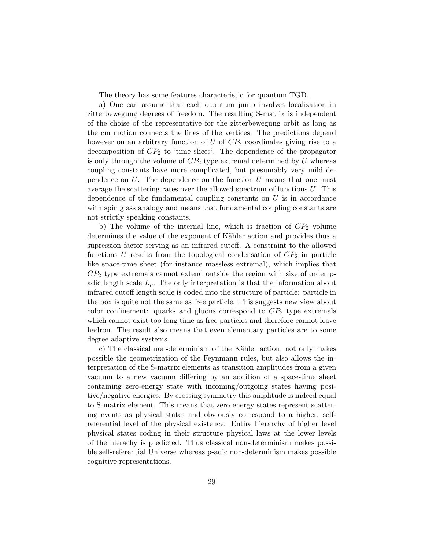The theory has some features characteristic for quantum TGD.

a) One can assume that each quantum jump involves localization in zitterbewegung degrees of freedom. The resulting S-matrix is independent of the choise of the representative for the zitterbewegung orbit as long as the cm motion connects the lines of the vertices. The predictions depend however on an arbitrary function of U of  $CP<sub>2</sub>$  coordinates giving rise to a decomposition of  $CP_2$  to 'time slices'. The dependence of the propagator is only through the volume of  $CP_2$  type extremal determined by U whereas coupling constants have more complicated, but presumably very mild dependence on  $U$ . The dependence on the function  $U$  means that one must average the scattering rates over the allowed spectrum of functions  $U$ . This dependence of the fundamental coupling constants on  $U$  is in accordance with spin glass analogy and means that fundamental coupling constants are not strictly speaking constants.

b) The volume of the internal line, which is fraction of  $CP<sub>2</sub>$  volume determines the value of the exponent of Kähler action and provides thus a supression factor serving as an infrared cutoff. A constraint to the allowed functions U results from the topological condensation of  $CP<sub>2</sub>$  in particle like space-time sheet (for instance massless extremal), which implies that  $CP<sub>2</sub>$  type extremals cannot extend outside the region with size of order padic length scale  $L_p$ . The only interpretation is that the information about infrared cutoff length scale is coded into the structure of particle: particle in the box is quite not the same as free particle. This suggests new view about color confinement: quarks and gluons correspond to  $CP<sub>2</sub>$  type extremals which cannot exist too long time as free particles and therefore cannot leave hadron. The result also means that even elementary particles are to some degree adaptive systems.

c) The classical non-determinism of the Kähler action, not only makes possible the geometrization of the Feynmann rules, but also allows the interpretation of the S-matrix elements as transition amplitudes from a given vacuum to a new vacuum differing by an addition of a space-time sheet containing zero-energy state with incoming/outgoing states having positive/negative energies. By crossing symmetry this amplitude is indeed equal to S-matrix element. This means that zero energy states represent scattering events as physical states and obviously correspond to a higher, selfreferential level of the physical existence. Entire hierarchy of higher level physical states coding in their structure physical laws at the lower levels of the hierachy is predicted. Thus classical non-determinism makes possible self-referential Universe whereas p-adic non-determinism makes possible cognitive representations.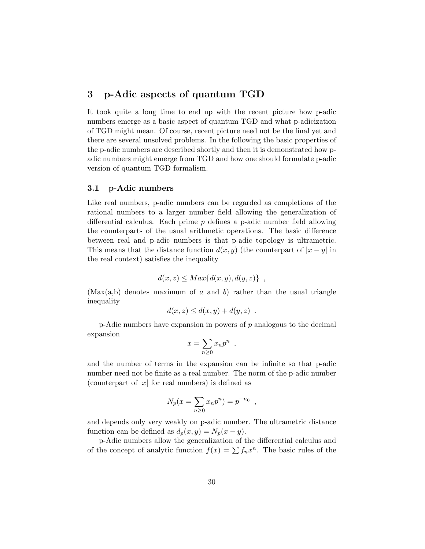# 3 p-Adic aspects of quantum TGD

It took quite a long time to end up with the recent picture how p-adic numbers emerge as a basic aspect of quantum TGD and what p-adicization of TGD might mean. Of course, recent picture need not be the final yet and there are several unsolved problems. In the following the basic properties of the p-adic numbers are described shortly and then it is demonstrated how padic numbers might emerge from TGD and how one should formulate p-adic version of quantum TGD formalism.

### 3.1 p-Adic numbers

Like real numbers, p-adic numbers can be regarded as completions of the rational numbers to a larger number field allowing the generalization of differential calculus. Each prime  $p$  defines a p-adic number field allowing the counterparts of the usual arithmetic operations. The basic difference between real and p-adic numbers is that p-adic topology is ultrametric. This means that the distance function  $d(x, y)$  (the counterpart of  $|x - y|$  in the real context) satisfies the inequality

$$
d(x, z) \le Max\{d(x, y), d(y, z)\},
$$

(Max(a,b) denotes maximum of a and b) rather than the usual triangle inequality

$$
d(x, z) \le d(x, y) + d(y, z) .
$$

 $p$ -Adic numbers have expansion in powers of  $p$  analogous to the decimal expansion

$$
x = \sum_{n\geq 0} x_n p^n ,
$$

and the number of terms in the expansion can be infinite so that p-adic number need not be finite as a real number. The norm of the p-adic number (counterpart of  $|x|$  for real numbers) is defined as

$$
N_p(x = \sum_{n \ge 0} x_n p^n) = p^{-n_0} ,
$$

and depends only very weakly on p-adic number. The ultrametric distance function can be defined as  $d_p(x, y) = N_p(x - y)$ .

p-Adic numbers allow the generalization of the differential calculus and of the concept of analytic function  $f(x) = \sum f_n x^n$ . The basic rules of the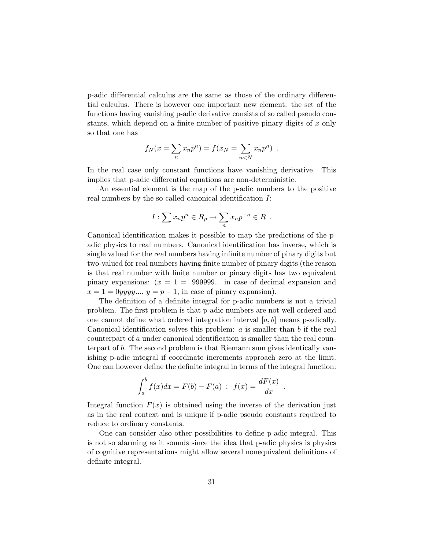p-adic differential calculus are the same as those of the ordinary differential calculus. There is however one important new element: the set of the functions having vanishing p-adic derivative consists of so called pseudo constants, which depend on a finite number of positive pinary digits of  $x$  only so that one has

$$
f_N(x = \sum_n x_n p^n) = f(x_N = \sum_{n < N} x_n p^n) \enspace .
$$

In the real case only constant functions have vanishing derivative. This implies that p-adic differential equations are non-deterministic.

An essential element is the map of the p-adic numbers to the positive real numbers by the so called canonical identification I:

$$
I: \sum x_n p^n \in R_p \to \sum_n x_n p^{-n} \in R .
$$

Canonical identification makes it possible to map the predictions of the padic physics to real numbers. Canonical identification has inverse, which is single valued for the real numbers having infinite number of pinary digits but two-valued for real numbers having finite number of pinary digits (the reason is that real number with finite number or pinary digits has two equivalent pinary expansions:  $(x = 1 = .999999...$  in case of decimal expansion and  $x = 1 = 0$ *yyyy...*,  $y = p - 1$ , in case of pinary expansion).

The definition of a definite integral for p-adic numbers is not a trivial problem. The first problem is that p-adic numbers are not well ordered and one cannot define what ordered integration interval  $[a, b]$  means p-adically. Canonical identification solves this problem:  $a$  is smaller than  $b$  if the real counterpart of a under canonical identification is smaller than the real counterpart of b. The second problem is that Riemann sum gives identically vanishing p-adic integral if coordinate increments approach zero at the limit. One can however define the definite integral in terms of the integral function:

$$
\int_{a}^{b} f(x)dx = F(b) - F(a) \; ; \; f(x) = \frac{dF(x)}{dx} \; .
$$

Integral function  $F(x)$  is obtained using the inverse of the derivation just as in the real context and is unique if p-adic pseudo constants required to reduce to ordinary constants.

One can consider also other possibilities to define p-adic integral. This is not so alarming as it sounds since the idea that p-adic physics is physics of cognitive representations might allow several nonequivalent definitions of definite integral.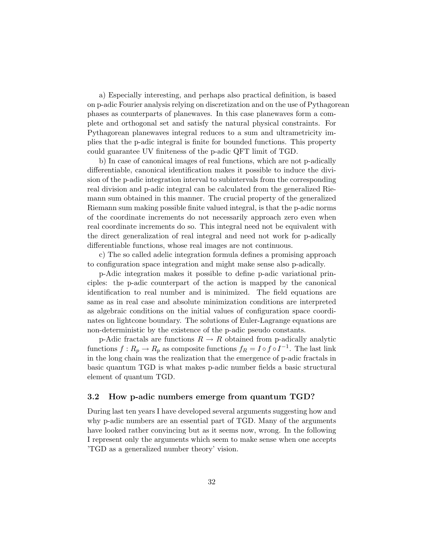a) Especially interesting, and perhaps also practical definition, is based on p-adic Fourier analysis relying on discretization and on the use of Pythagorean phases as counterparts of planewaves. In this case planewaves form a complete and orthogonal set and satisfy the natural physical constraints. For Pythagorean planewaves integral reduces to a sum and ultrametricity implies that the p-adic integral is finite for bounded functions. This property could guarantee UV finiteness of the p-adic QFT limit of TGD.

b) In case of canonical images of real functions, which are not p-adically differentiable, canonical identification makes it possible to induce the division of the p-adic integration interval to subintervals from the corresponding real division and p-adic integral can be calculated from the generalized Riemann sum obtained in this manner. The crucial property of the generalized Riemann sum making possible finite valued integral, is that the p-adic norms of the coordinate increments do not necessarily approach zero even when real coordinate increments do so. This integral need not be equivalent with the direct generalization of real integral and need not work for p-adically differentiable functions, whose real images are not continuous.

c) The so called adelic integration formula defines a promising approach to configuration space integration and might make sense also p-adically.

p-Adic integration makes it possible to define p-adic variational principles: the p-adic counterpart of the action is mapped by the canonical identification to real number and is minimized. The field equations are same as in real case and absolute minimization conditions are interpreted as algebraic conditions on the initial values of configuration space coordinates on lightcone boundary. The solutions of Euler-Lagrange equations are non-deterministic by the existence of the p-adic pseudo constants.

p-Adic fractals are functions  $R \to R$  obtained from p-adically analytic functions  $f: R_p \to R_p$  as composite functions  $f_R = I \circ f \circ I^{-1}$ . The last link in the long chain was the realization that the emergence of p-adic fractals in basic quantum TGD is what makes p-adic number fields a basic structural element of quantum TGD.

### 3.2 How p-adic numbers emerge from quantum TGD?

During last ten years I have developed several arguments suggesting how and why p-adic numbers are an essential part of TGD. Many of the arguments have looked rather convincing but as it seems now, wrong. In the following I represent only the arguments which seem to make sense when one accepts 'TGD as a generalized number theory' vision.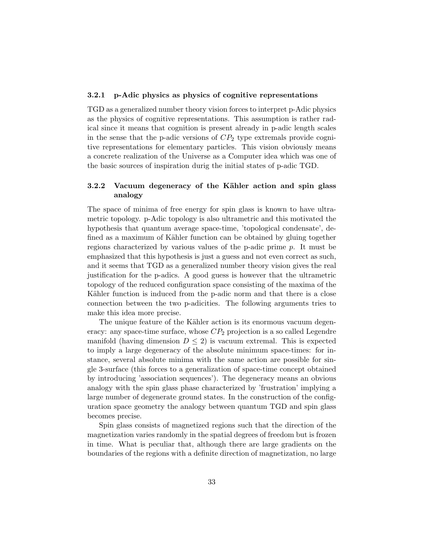#### 3.2.1 p-Adic physics as physics of cognitive representations

TGD as a generalized number theory vision forces to interpret p-Adic physics as the physics of cognitive representations. This assumption is rather radical since it means that cognition is present already in p-adic length scales in the sense that the p-adic versions of  $CP<sub>2</sub>$  type extremals provide cognitive representations for elementary particles. This vision obviously means a concrete realization of the Universe as a Computer idea which was one of the basic sources of inspiration durig the initial states of p-adic TGD.

## 3.2.2 Vacuum degeneracy of the Kähler action and spin glass analogy

The space of minima of free energy for spin glass is known to have ultrametric topology. p-Adic topology is also ultrametric and this motivated the hypothesis that quantum average space-time, 'topological condensate', defined as a maximum of Kähler function can be obtained by gluing together regions characterized by various values of the p-adic prime p. It must be emphasized that this hypothesis is just a guess and not even correct as such, and it seems that TGD as a generalized number theory vision gives the real justification for the p-adics. A good guess is however that the ultrametric topology of the reduced configuration space consisting of the maxima of the Kähler function is induced from the p-adic norm and that there is a close connection between the two p-adicities. The following arguments tries to make this idea more precise.

The unique feature of the Kähler action is its enormous vacuum degeneracy: any space-time surface, whose  $CP_2$  projection is a so called Legendre manifold (having dimension  $D \leq 2$ ) is vacuum extremal. This is expected to imply a large degeneracy of the absolute minimum space-times: for instance, several absolute minima with the same action are possible for single 3-surface (this forces to a generalization of space-time concept obtained by introducing 'association sequences'). The degeneracy means an obvious analogy with the spin glass phase characterized by 'frustration' implying a large number of degenerate ground states. In the construction of the configuration space geometry the analogy between quantum TGD and spin glass becomes precise.

Spin glass consists of magnetized regions such that the direction of the magnetization varies randomly in the spatial degrees of freedom but is frozen in time. What is peculiar that, although there are large gradients on the boundaries of the regions with a definite direction of magnetization, no large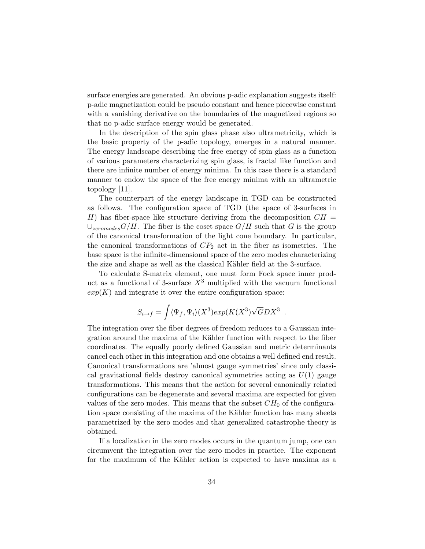surface energies are generated. An obvious p-adic explanation suggests itself: p-adic magnetization could be pseudo constant and hence piecewise constant with a vanishing derivative on the boundaries of the magnetized regions so that no p-adic surface energy would be generated.

In the description of the spin glass phase also ultrametricity, which is the basic property of the p-adic topology, emerges in a natural manner. The energy landscape describing the free energy of spin glass as a function of various parameters characterizing spin glass, is fractal like function and there are infinite number of energy minima. In this case there is a standard manner to endow the space of the free energy minima with an ultrametric topology [11].

The counterpart of the energy landscape in TGD can be constructed as follows. The configuration space of TGD (the space of 3-surfaces in H) has fiber-space like structure deriving from the decomposition  $CH =$  $\cup_{zero modes} G/H$ . The fiber is the coset space  $G/H$  such that G is the group of the canonical transformation of the light cone boundary. In particular, the canonical transformations of  $CP_2$  act in the fiber as isometries. The base space is the infinite-dimensional space of the zero modes characterizing the size and shape as well as the classical Kähler field at the 3-surface.

To calculate S-matrix element, one must form Fock space inner product as a functional of 3-surface  $X^3$  multiplied with the vacuum functional  $exp(K)$  and integrate it over the entire configuration space:

$$
S_{i\to f} = \int \langle \Psi_f, \Psi_i \rangle (X^3) exp(K(X^3) \sqrt{G}DX^3).
$$

The integration over the fiber degrees of freedom reduces to a Gaussian integration around the maxima of the Kähler function with respect to the fiber coordinates. The equally poorly defined Gaussian and metric determinants cancel each other in this integration and one obtains a well defined end result. Canonical transformations are 'almost gauge symmetries' since only classical gravitational fields destroy canonical symmetries acting as  $U(1)$  gauge transformations. This means that the action for several canonically related configurations can be degenerate and several maxima are expected for given values of the zero modes. This means that the subset  $CH_0$  of the configuration space consisting of the maxima of the Kähler function has many sheets parametrized by the zero modes and that generalized catastrophe theory is obtained.

If a localization in the zero modes occurs in the quantum jump, one can circumvent the integration over the zero modes in practice. The exponent for the maximum of the Kähler action is expected to have maxima as a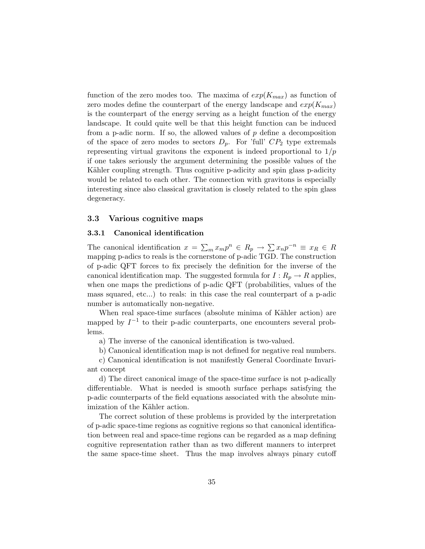function of the zero modes too. The maxima of  $exp(K_{max})$  as function of zero modes define the counterpart of the energy landscape and  $exp(K_{max})$ is the counterpart of the energy serving as a height function of the energy landscape. It could quite well be that this height function can be induced from a p-adic norm. If so, the allowed values of  $p$  define a decomposition of the space of zero modes to sectors  $D_p$ . For 'full'  $CP_2$  type extremals representing virtual gravitons the exponent is indeed proportional to  $1/p$ if one takes seriously the argument determining the possible values of the Kähler coupling strength. Thus cognitive p-adicity and spin glass p-adicity would be related to each other. The connection with gravitons is especially interesting since also classical gravitation is closely related to the spin glass degeneracy.

### 3.3 Various cognitive maps

## 3.3.1 Canonical identification

The canonical identification  $x = \sum_m x_m p^n \in R_p \to \sum x_n p^{-n} \equiv x_R \in R$ mapping p-adics to reals is the cornerstone of p-adic TGD. The construction of p-adic QFT forces to fix precisely the definition for the inverse of the canonical identification map. The suggested formula for  $I: R_p \to R$  applies, when one maps the predictions of p-adic QFT (probabilities, values of the mass squared, etc...) to reals: in this case the real counterpart of a p-adic number is automatically non-negative.

When real space-time surfaces (absolute minima of Kähler action) are mapped by  $I^{-1}$  to their p-adic counterparts, one encounters several problems.

a) The inverse of the canonical identification is two-valued.

b) Canonical identification map is not defined for negative real numbers.

c) Canonical identification is not manifestly General Coordinate Invariant concept

d) The direct canonical image of the space-time surface is not p-adically differentiable. What is needed is smooth surface perhaps satisfying the p-adic counterparts of the field equations associated with the absolute minimization of the Kähler action.

The correct solution of these problems is provided by the interpretation of p-adic space-time regions as cognitive regions so that canonical identification between real and space-time regions can be regarded as a map defining cognitive representation rather than as two different manners to interpret the same space-time sheet. Thus the map involves always pinary cutoff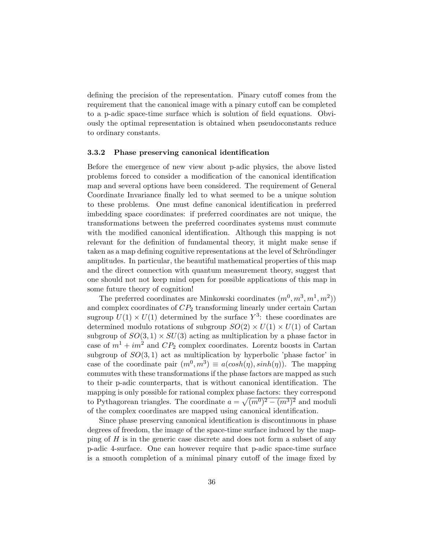defining the precision of the representation. Pinary cutoff comes from the requirement that the canonical image with a pinary cutoff can be completed to a p-adic space-time surface which is solution of field equations. Obviously the optimal representation is obtained when pseudoconstants reduce to ordinary constants.

#### 3.3.2 Phase preserving canonical identification

Before the emergence of new view about p-adic physics, the above listed problems forced to consider a modification of the canonical identification map and several options have been considered. The requirement of General Coordinate Invariance finally led to what seemed to be a unique solution to these problems. One must define canonical identification in preferred imbedding space coordinates: if preferred coordinates are not unique, the transformations between the preferred coordinates systems must commute with the modified canonical identification. Although this mapping is not relevant for the definition of fundamental theory, it might make sense if taken as a map defining cognitive representations at the level of Schröndinger amplitudes. In particular, the beautiful mathematical properties of this map and the direct connection with quantum measurement theory, suggest that one should not not keep mind open for possible applications of this map in some future theory of cognition!

The preferred coordinates are Minkowski coordinates  $(m^0, m^3, m^1, m^2)$ and complex coordinates of  $CP<sub>2</sub>$  transforming linearly under certain Cartan sugroup  $U(1) \times U(1)$  determined by the surface  $Y^3$ : these coordinates are determined modulo rotations of subgroup  $SO(2) \times U(1) \times U(1)$  of Cartan subgroup of  $SO(3,1) \times SU(3)$  acting as multiplication by a phase factor in case of  $m^1 + im^2$  and  $CP_2$  complex coordinates. Lorentz boosts in Cartan subgroup of  $SO(3,1)$  act as multiplication by hyperbolic 'phase factor' in case of the coordinate pair  $(m^0, m^3) \equiv a(\cosh(\eta), \sinh(\eta))$ . The mapping commutes with these transformations if the phase factors are mapped as such to their p-adic counterparts, that is without canonical identification. The mapping is only possible for rational complex phase factors: they correspond to Pythagorean triangles. The coordinate  $a = \sqrt{(m^0)^2 - (m^3)^2}$  and moduli of the complex coordinates are mapped using canonical identification.

Since phase preserving canonical identification is discontinuous in phase degrees of freedom, the image of the space-time surface induced by the mapping of  $H$  is in the generic case discrete and does not form a subset of any p-adic 4-surface. One can however require that p-adic space-time surface is a smooth completion of a minimal pinary cutoff of the image fixed by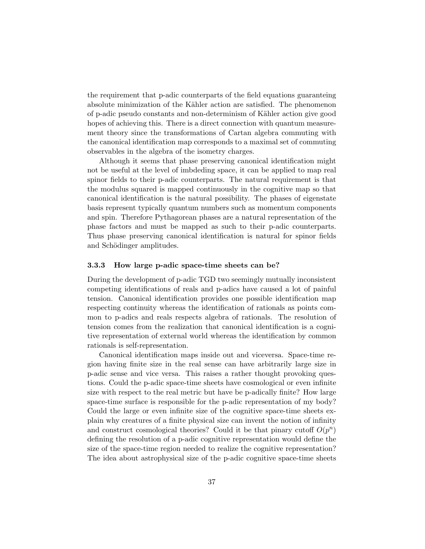the requirement that p-adic counterparts of the field equations guaranteing absolute minimization of the Kähler action are satisfied. The phenomenon of p-adic pseudo constants and non-determinism of K¨ahler action give good hopes of achieving this. There is a direct connection with quantum measurement theory since the transformations of Cartan algebra commuting with the canonical identification map corresponds to a maximal set of commuting observables in the algebra of the isometry charges.

Although it seems that phase preserving canonical identification might not be useful at the level of imbdeding space, it can be applied to map real spinor fields to their p-adic counterparts. The natural requirement is that the modulus squared is mapped continuously in the cognitive map so that canonical identification is the natural possibility. The phases of eigenstate basis represent typically quantum numbers such as momentum components and spin. Therefore Pythagorean phases are a natural representation of the phase factors and must be mapped as such to their p-adic counterparts. Thus phase preserving canonical identification is natural for spinor fields and Schödinger amplitudes.

#### 3.3.3 How large p-adic space-time sheets can be?

During the development of p-adic TGD two seemingly mutually inconsistent competing identifications of reals and p-adics have caused a lot of painful tension. Canonical identification provides one possible identification map respecting continuity whereas the identification of rationals as points common to p-adics and reals respects algebra of rationals. The resolution of tension comes from the realization that canonical identification is a cognitive representation of external world whereas the identification by common rationals is self-representation.

Canonical identification maps inside out and viceversa. Space-time region having finite size in the real sense can have arbitrarily large size in p-adic sense and vice versa. This raises a rather thought provoking questions. Could the p-adic space-time sheets have cosmological or even infinite size with respect to the real metric but have be p-adically finite? How large space-time surface is responsible for the p-adic representation of my body? Could the large or even infinite size of the cognitive space-time sheets explain why creatures of a finite physical size can invent the notion of infinity and construct cosmological theories? Could it be that pinary cutoff  $O(p^n)$ defining the resolution of a p-adic cognitive representation would define the size of the space-time region needed to realize the cognitive representation? The idea about astrophysical size of the p-adic cognitive space-time sheets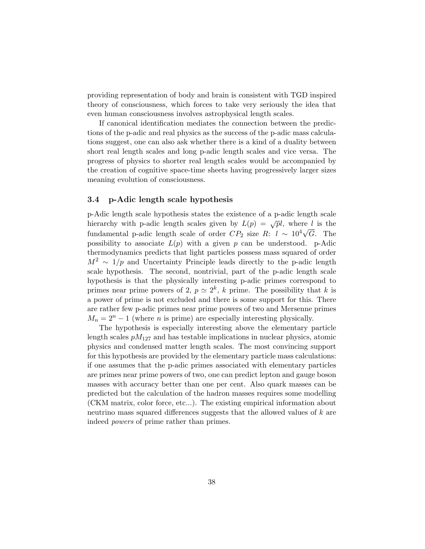providing representation of body and brain is consistent with TGD inspired theory of consciousness, which forces to take very seriously the idea that even human consciousness involves astrophysical length scales.

If canonical identification mediates the connection between the predictions of the p-adic and real physics as the success of the p-adic mass calculations suggest, one can also ask whether there is a kind of a duality between short real length scales and long p-adic length scales and vice versa. The progress of physics to shorter real length scales would be accompanied by the creation of cognitive space-time sheets having progressively larger sizes meaning evolution of consciousness.

## 3.4 p-Adic length scale hypothesis

p-Adic length scale hypothesis states the existence of a p-adic length scale hierarchy with p-adic length scales given by  $L(p) = \sqrt{pl}$ , where l is the fundamental p-adic length scale of order  $CP_2$  size R:  $l \sim 10^4 \sqrt{G}$ . The possibility to associate  $L(p)$  with a given p can be understood. p-Adic thermodynamics predicts that light particles possess mass squared of order  $M^2 \sim 1/p$  and Uncertainty Principle leads directly to the p-adic length scale hypothesis. The second, nontrivial, part of the p-adic length scale hypothesis is that the physically interesting p-adic primes correspond to primes near prime powers of 2,  $p \simeq 2^k$ , k prime. The possibility that k is a power of prime is not excluded and there is some support for this. There are rather few p-adic primes near prime powers of two and Mersenne primes  $M_n = 2^n - 1$  (where *n* is prime) are especially interesting physically.

The hypothesis is especially interesting above the elementary particle length scales  $pM_{127}$  and has testable implications in nuclear physics, atomic physics and condensed matter length scales. The most convincing support for this hypothesis are provided by the elementary particle mass calculations: if one assumes that the p-adic primes associated with elementary particles are primes near prime powers of two, one can predict lepton and gauge boson masses with accuracy better than one per cent. Also quark masses can be predicted but the calculation of the hadron masses requires some modelling (CKM matrix, color force, etc...). The existing empirical information about neutrino mass squared differences suggests that the allowed values of k are indeed powers of prime rather than primes.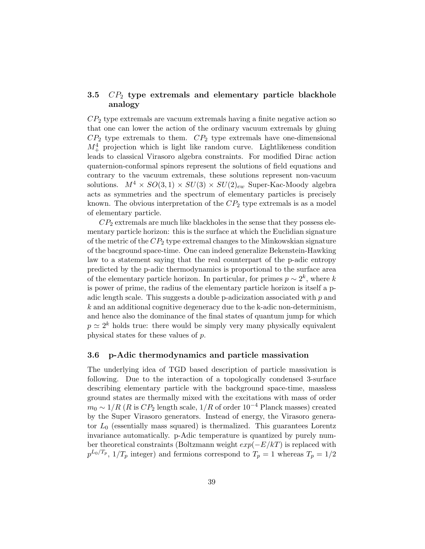## 3.5  $CP_2$  type extremals and elementary particle blackhole analogy

 $CP<sub>2</sub>$  type extremals are vacuum extremals having a finite negative action so that one can lower the action of the ordinary vacuum extremals by gluing  $CP<sub>2</sub>$  type extremals to them.  $CP<sub>2</sub>$  type extremals have one-dimensional  $M_{+}^{4}$  projection which is light like random curve. Lightlikeness condition leads to classical Virasoro algebra constraints. For modified Dirac action quaternion-conformal spinors represent the solutions of field equations and contrary to the vacuum extremals, these solutions represent non-vacuum solutions.  $M^4 \times SO(3,1) \times SU(3) \times SU(2)_{ew}$  Super-Kac-Moody algebra acts as symmetries and the spectrum of elementary particles is precisely known. The obvious interpretation of the  $CP<sub>2</sub>$  type extremals is as a model of elementary particle.

 $CP<sub>2</sub>$  extremals are much like blackholes in the sense that they possess elementary particle horizon: this is the surface at which the Euclidian signature of the metric of the  $CP_2$  type extremal changes to the Minkowskian signature of the bacground space-time. One can indeed generalize Bekenstein-Hawking law to a statement saying that the real counterpart of the p-adic entropy predicted by the p-adic thermodynamics is proportional to the surface area of the elementary particle horizon. In particular, for primes  $p \sim 2^k$ , where k is power of prime, the radius of the elementary particle horizon is itself a padic length scale. This suggests a double p-adicization associated with  $p$  and  $k$  and an additional cognitive degeneracy due to the k-adic non-determinism, and hence also the dominance of the final states of quantum jump for which  $p \simeq 2^k$  holds true: there would be simply very many physically equivalent physical states for these values of p.

### 3.6 p-Adic thermodynamics and particle massivation

The underlying idea of TGD based description of particle massivation is following. Due to the interaction of a topologically condensed 3-surface describing elementary particle with the background space-time, massless ground states are thermally mixed with the excitations with mass of order  $m_0 \sim 1/R$  (R is  $CP_2$  length scale,  $1/R$  of order  $10^{-4}$  Planck masses) created by the Super Virasoro generators. Instead of energy, the Virasoro generator  $L_0$  (essentially mass squared) is thermalized. This guarantees Lorentz invariance automatically. p-Adic temperature is quantized by purely number theoretical constraints (Boltzmann weight  $exp(-E/kT)$  is replaced with  $p^{L_0/T_p}$ ,  $1/T_p$  integer) and fermions correspond to  $T_p = 1$  whereas  $T_p = 1/2$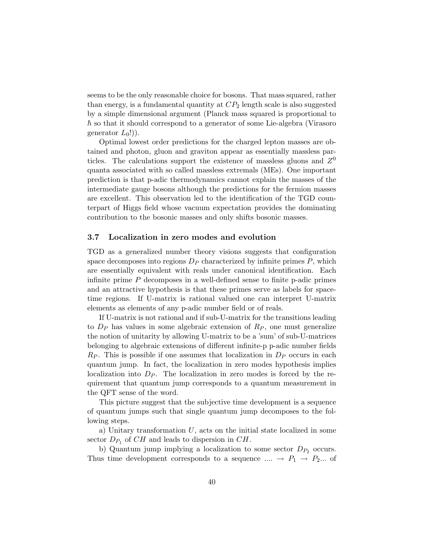seems to be the only reasonable choice for bosons. That mass squared, rather than energy, is a fundamental quantity at  $CP_2$  length scale is also suggested by a simple dimensional argument (Planck mass squared is proportional to  $\hbar$  so that it should correspond to a generator of some Lie-algebra (Virasoro generator  $L_0!)$ .

Optimal lowest order predictions for the charged lepton masses are obtained and photon, gluon and graviton appear as essentially massless particles. The calculations support the existence of massless gluons and  $Z^0$ quanta associated with so called massless extremals (MEs). One important prediction is that p-adic thermodynamics cannot explain the masses of the intermediate gauge bosons although the predictions for the fermion masses are excellent. This observation led to the identification of the TGD counterpart of Higgs field whose vacuum expectation provides the dominating contribution to the bosonic masses and only shifts bosonic masses.

### 3.7 Localization in zero modes and evolution

TGD as a generalized number theory visions suggests that configuration space decomposes into regions  $D_P$  characterized by infinite primes  $P$ , which are essentially equivalent with reals under canonical identification. Each infinite prime  $P$  decomposes in a well-defined sense to finite p-adic primes and an attractive hypothesis is that these primes serve as labels for spacetime regions. If U-matrix is rational valued one can interpret U-matrix elements as elements of any p-adic number field or of reals.

If U-matrix is not rational and if sub-U-matrix for the transitions leading to  $D_P$  has values in some algebraic extension of  $R_P$ , one must generalize the notion of unitarity by allowing U-matrix to be a 'sum' of sub-U-matrices belonging to algebraic extensions of different infinite-p p-adic number fields  $R_P$ . This is possible if one assumes that localization in  $D_P$  occurs in each quantum jump. In fact, the localization in zero modes hypothesis implies localization into  $D_P$ . The localization in zero modes is forced by the requirement that quantum jump corresponds to a quantum measurement in the QFT sense of the word.

This picture suggest that the subjective time development is a sequence of quantum jumps such that single quantum jump decomposes to the following steps.

a) Unitary transformation  $U$ , acts on the initial state localized in some sector  $D_{P_1}$  of  $CH$  and leads to dispersion in  $CH$ .

b) Quantum jump implying a localization to some sector  $D_{P_2}$  occurs. Thus time development corresponds to a sequence  $\ldots \rightarrow P_1 \rightarrow P_2 \ldots$  of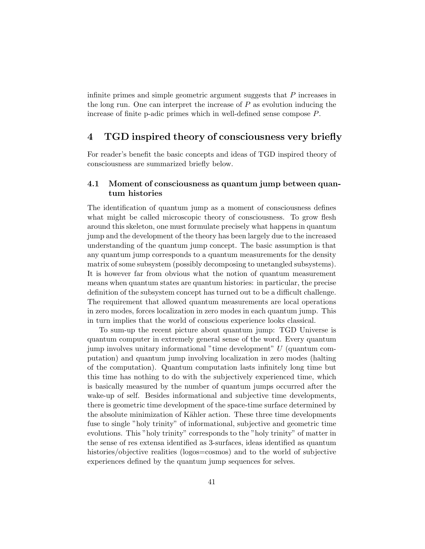infinite primes and simple geometric argument suggests that P increases in the long run. One can interpret the increase of  $P$  as evolution inducing the increase of finite p-adic primes which in well-defined sense compose P.

# 4 TGD inspired theory of consciousness very briefly

For reader's benefit the basic concepts and ideas of TGD inspired theory of consciousness are summarized briefly below.

## 4.1 Moment of consciousness as quantum jump between quantum histories

The identification of quantum jump as a moment of consciousness defines what might be called microscopic theory of consciousness. To grow flesh around this skeleton, one must formulate precisely what happens in quantum jump and the development of the theory has been largely due to the increased understanding of the quantum jump concept. The basic assumption is that any quantum jump corresponds to a quantum measurements for the density matrix of some subsystem (possibly decomposing to unetangled subsystems). It is however far from obvious what the notion of quantum measurement means when quantum states are quantum histories: in particular, the precise definition of the subsystem concept has turned out to be a difficult challenge. The requirement that allowed quantum measurements are local operations in zero modes, forces localization in zero modes in each quantum jump. This in turn implies that the world of conscious experience looks classical.

To sum-up the recent picture about quantum jump: TGD Universe is quantum computer in extremely general sense of the word. Every quantum jump involves unitary informational "time development" U (quantum computation) and quantum jump involving localization in zero modes (halting of the computation). Quantum computation lasts infinitely long time but this time has nothing to do with the subjectively experienced time, which is basically measured by the number of quantum jumps occurred after the wake-up of self. Besides informational and subjective time developments, there is geometric time development of the space-time surface determined by the absolute minimization of Kähler action. These three time developments fuse to single "holy trinity" of informational, subjective and geometric time evolutions. This "holy trinity" corresponds to the "holy trinity" of matter in the sense of res extensa identified as 3-surfaces, ideas identified as quantum histories/objective realities (logos=cosmos) and to the world of subjective experiences defined by the quantum jump sequences for selves.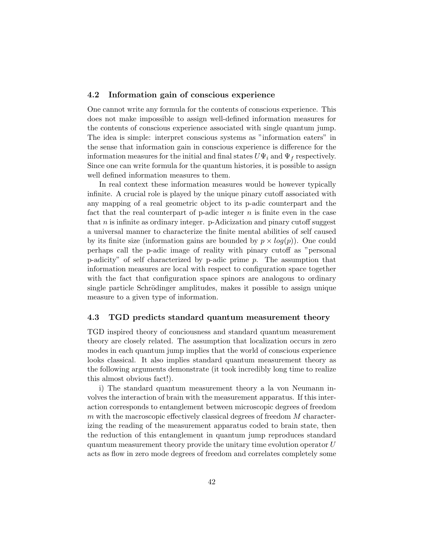## 4.2 Information gain of conscious experience

One cannot write any formula for the contents of conscious experience. This does not make impossible to assign well-defined information measures for the contents of conscious experience associated with single quantum jump. The idea is simple: interpret conscious systems as "information eaters" in the sense that information gain in conscious experience is difference for the information measures for the initial and final states  $U\Psi_i$  and  $\Psi_f$  respectively. Since one can write formula for the quantum histories, it is possible to assign well defined information measures to them.

In real context these information measures would be however typically infinite. A crucial role is played by the unique pinary cutoff associated with any mapping of a real geometric object to its p-adic counterpart and the fact that the real counterpart of p-adic integer  $n$  is finite even in the case that  $n$  is infinite as ordinary integer. p-Adicization and pinary cutoff suggest a universal manner to characterize the finite mental abilities of self caused by its finite size (information gains are bounded by  $p \times log(p)$ ). One could perhaps call the p-adic image of reality with pinary cutoff as "personal p-adicity" of self characterized by p-adic prime  $p$ . The assumption that information measures are local with respect to configuration space together with the fact that configuration space spinors are analogous to ordinary single particle Schrödinger amplitudes, makes it possible to assign unique measure to a given type of information.

## 4.3 TGD predicts standard quantum measurement theory

TGD inspired theory of conciousness and standard quantum measurement theory are closely related. The assumption that localization occurs in zero modes in each quantum jump implies that the world of conscious experience looks classical. It also implies standard quantum measurement theory as the following arguments demonstrate (it took incredibly long time to realize this almost obvious fact!).

i) The standard quantum measurement theory a la von Neumann involves the interaction of brain with the measurement apparatus. If this interaction corresponds to entanglement between microscopic degrees of freedom  $m$  with the macroscopic effectively classical degrees of freedom  $M$  characterizing the reading of the measurement apparatus coded to brain state, then the reduction of this entanglement in quantum jump reproduces standard quantum measurement theory provide the unitary time evolution operator  $U$ acts as flow in zero mode degrees of freedom and correlates completely some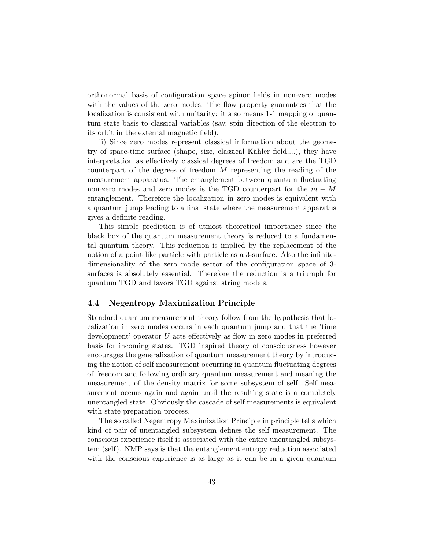orthonormal basis of configuration space spinor fields in non-zero modes with the values of the zero modes. The flow property guarantees that the localization is consistent with unitarity: it also means 1-1 mapping of quantum state basis to classical variables (say, spin direction of the electron to its orbit in the external magnetic field).

ii) Since zero modes represent classical information about the geometry of space-time surface (shape, size, classical Kähler field,...), they have interpretation as effectively classical degrees of freedom and are the TGD counterpart of the degrees of freedom M representing the reading of the measurement apparatus. The entanglement between quantum fluctuating non-zero modes and zero modes is the TGD counterpart for the  $m - M$ entanglement. Therefore the localization in zero modes is equivalent with a quantum jump leading to a final state where the measurement apparatus gives a definite reading.

This simple prediction is of utmost theoretical importance since the black box of the quantum measurement theory is reduced to a fundamental quantum theory. This reduction is implied by the replacement of the notion of a point like particle with particle as a 3-surface. Also the infinitedimensionality of the zero mode sector of the configuration space of 3 surfaces is absolutely essential. Therefore the reduction is a triumph for quantum TGD and favors TGD against string models.

## 4.4 Negentropy Maximization Principle

Standard quantum measurement theory follow from the hypothesis that localization in zero modes occurs in each quantum jump and that the 'time development' operator U acts effectively as flow in zero modes in preferred basis for incoming states. TGD inspired theory of consciousness however encourages the generalization of quantum measurement theory by introducing the notion of self measurement occurring in quantum fluctuating degrees of freedom and following ordinary quantum measurement and meaning the measurement of the density matrix for some subsystem of self. Self measurement occurs again and again until the resulting state is a completely unentangled state. Obviously the cascade of self measurements is equivalent with state preparation process.

The so called Negentropy Maximization Principle in principle tells which kind of pair of unentangled subsystem defines the self measurement. The conscious experience itself is associated with the entire unentangled subsystem (self). NMP says is that the entanglement entropy reduction associated with the conscious experience is as large as it can be in a given quantum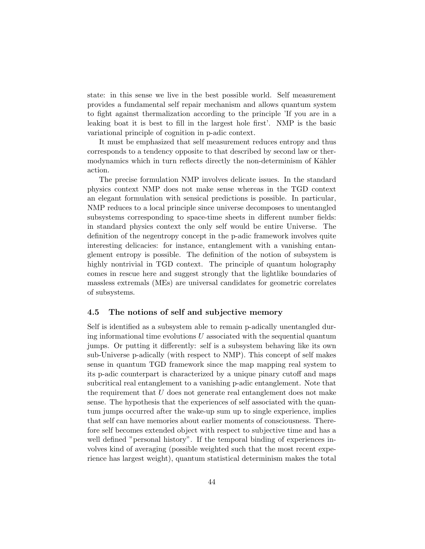state: in this sense we live in the best possible world. Self measurement provides a fundamental self repair mechanism and allows quantum system to fight against thermalization according to the principle 'If you are in a leaking boat it is best to fill in the largest hole first'. NMP is the basic variational principle of cognition in p-adic context.

It must be emphasized that self measurement reduces entropy and thus corresponds to a tendency opposite to that described by second law or thermodynamics which in turn reflects directly the non-determinism of Kähler action.

The precise formulation NMP involves delicate issues. In the standard physics context NMP does not make sense whereas in the TGD context an elegant formulation with sensical predictions is possible. In particular, NMP reduces to a local principle since universe decomposes to unentangled subsystems corresponding to space-time sheets in different number fields: in standard physics context the only self would be entire Universe. The definition of the negentropy concept in the p-adic framework involves quite interesting delicacies: for instance, entanglement with a vanishing entanglement entropy is possible. The definition of the notion of subsystem is highly nontrivial in TGD context. The principle of quantum holography comes in rescue here and suggest strongly that the lightlike boundaries of massless extremals (MEs) are universal candidates for geometric correlates of subsystems.

### 4.5 The notions of self and subjective memory

Self is identified as a subsystem able to remain p-adically unentangled during informational time evolutions  $U$  associated with the sequential quantum jumps. Or putting it differently: self is a subsystem behaving like its own sub-Universe p-adically (with respect to NMP). This concept of self makes sense in quantum TGD framework since the map mapping real system to its p-adic counterpart is characterized by a unique pinary cutoff and maps subcritical real entanglement to a vanishing p-adic entanglement. Note that the requirement that  $U$  does not generate real entanglement does not make sense. The hypothesis that the experiences of self associated with the quantum jumps occurred after the wake-up sum up to single experience, implies that self can have memories about earlier moments of consciousness. Therefore self becomes extended object with respect to subjective time and has a well defined "personal history". If the temporal binding of experiences involves kind of averaging (possible weighted such that the most recent experience has largest weight), quantum statistical determinism makes the total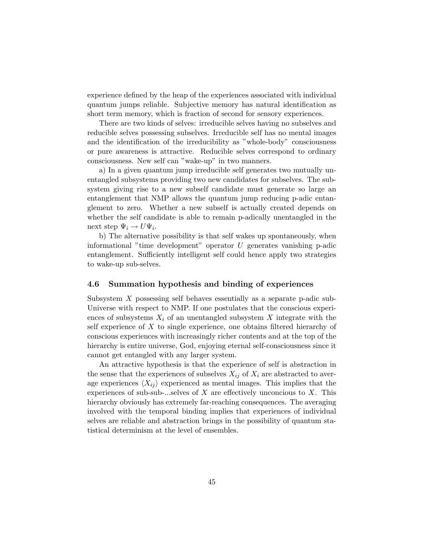experience defined by the heap of the experiences associated with individual quantum jumps reliable. Subjective memory has natural identification as short term memory, which is fraction of second for sensory experiences.

There are two kinds of selves: irreducible selves having no subselves and reducible selves possessing subselves. Irreducible self has no mental images and the identification of the irreducibility as "whole-body" consciousness or pure awareness is attractive. Reducible selves correspond to ordinary consciousness. New self can "wake-up" in two manners.

a) In a given quantum jump irreducible self generates two mutually unentangled subsystems providing two new candidates for subselves. The subsystem giving rise to a new subself candidate must generate so large an entanglement that NMP allows the quantum jump reducing p-adic entanglement to zero. Whether a new subself is actually created depends on whether the self candidate is able to remain p-adically unentangled in the next step  $\Psi_i \to U \Psi_i$ .

b) The alternative possibility is that self wakes up spontaneously, when informational "time development" operator U generates vanishing p-adic entanglement. Sufficiently intelligent self could hence apply two strategies to wake-up sub-selves.

## 4.6 Summation hypothesis and binding of experiences

Subsystem X possessing self behaves essentially as a separate p-adic sub-Universe with respect to NMP. If one postulates that the conscious experiences of subsystems  $X_i$  of an unentangled subsystem X integrate with the self experience of  $X$  to single experience, one obtains filtered hierarchy of conscious experiences with increasingly richer contents and at the top of the hierarchy is entire universe, God, enjoying eternal self-consciousness since it cannot get entangled with any larger system.

An attractive hypothesis is that the experience of self is abstraction in the sense that the experiences of subselves  $X_{ij}$  of  $X_i$  are abstracted to average experiences  $\langle X_{ij} \rangle$  experienced as mental images. This implies that the experiences of sub-sub-...selves of X are effectively unconcious to X. This hierarchy obviously has extremely far-reaching consequences. The averaging involved with the temporal binding implies that experiences of individual selves are reliable and abstraction brings in the possibility of quantum statistical determinism at the level of ensembles.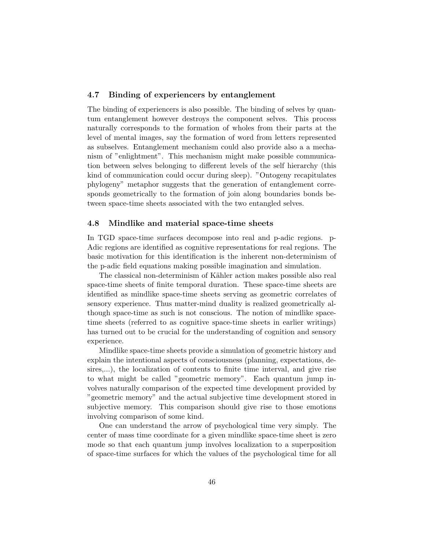## 4.7 Binding of experiencers by entanglement

The binding of experiencers is also possible. The binding of selves by quantum entanglement however destroys the component selves. This process naturally corresponds to the formation of wholes from their parts at the level of mental images, say the formation of word from letters represented as subselves. Entanglement mechanism could also provide also a a mechanism of "enlightment". This mechanism might make possible communication between selves belonging to different levels of the self hierarchy (this kind of communication could occur during sleep). "Ontogeny recapitulates phylogeny" metaphor suggests that the generation of entanglement corresponds geometrically to the formation of join along boundaries bonds between space-time sheets associated with the two entangled selves.

#### 4.8 Mindlike and material space-time sheets

In TGD space-time surfaces decompose into real and p-adic regions. p-Adic regions are identified as cognitive representations for real regions. The basic motivation for this identification is the inherent non-determinism of the p-adic field equations making possible imagination and simulation.

The classical non-determinism of Kähler action makes possible also real space-time sheets of finite temporal duration. These space-time sheets are identified as mindlike space-time sheets serving as geometric correlates of sensory experience. Thus matter-mind duality is realized geometrically although space-time as such is not conscious. The notion of mindlike spacetime sheets (referred to as cognitive space-time sheets in earlier writings) has turned out to be crucial for the understanding of cognition and sensory experience.

Mindlike space-time sheets provide a simulation of geometric history and explain the intentional aspects of consciousness (planning, expectations, desires,...), the localization of contents to finite time interval, and give rise to what might be called "geometric memory". Each quantum jump involves naturally comparison of the expected time development provided by "geometric memory" and the actual subjective time development stored in subjective memory. This comparison should give rise to those emotions involving comparison of some kind.

One can understand the arrow of psychological time very simply. The center of mass time coordinate for a given mindlike space-time sheet is zero mode so that each quantum jump involves localization to a superposition of space-time surfaces for which the values of the psychological time for all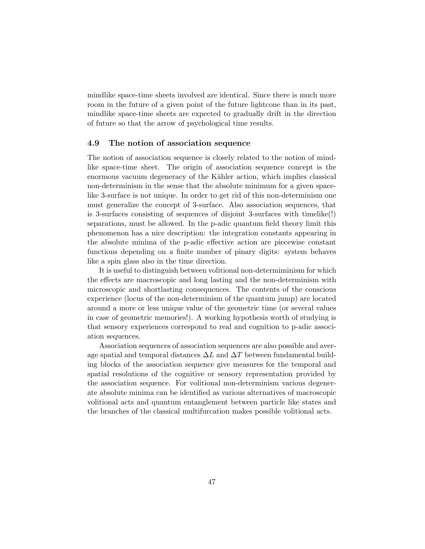mindlike space-time sheets involved are identical. Since there is much more room in the future of a given point of the future lightcone than in its past, mindlike space-time sheets are expected to gradually drift in the direction of future so that the arrow of psychological time results.

### 4.9 The notion of association sequence

The notion of association sequence is closely related to the notion of mindlike space-time sheet. The origin of association sequence concept is the enormous vacuum degeneracy of the Kähler action, which implies classical non-determinism in the sense that the absolute minimum for a given spacelike 3-surface is not unique. In order to get rid of this non-determinism one must generalize the concept of 3-surface. Also association sequences, that is 3-surfaces consisting of sequences of disjoint 3-surfaces with timelike(!) separations, must be allowed. In the p-adic quantum field theory limit this phenomenon has a nice description: the integration constants appearing in the absolute minima of the p-adic effective action are piecewise constant functions depending on a finite number of pinary digits: system behaves like a spin glass also in the time direction.

It is useful to distinguish between volitional non-determiminism for which the effects are macroscopic and long lasting and the non-determinism with microscopic and shortlasting consequences. The contents of the conscious experience (locus of the non-determinism of the quantum jump) are located around a more or less unique value of the geometric time (or several values in case of geometric memories!). A working hypothesis worth of studying is that sensory experiences correspond to real and cognition to p-adic association sequences.

Association sequences of association sequences are also possible and average spatial and temporal distances  $\Delta L$  and  $\Delta T$  between fundamental building blocks of the association sequence give measures for the temporal and spatial resolutions of the cognitive or sensory representation provided by the association sequence. For volitional non-determinism various degenerate absolute minima can be identified as various alternatives of macroscopic volitional acts and quantum entanglement between particle like states and the branches of the classical multifurcation makes possible volitional acts.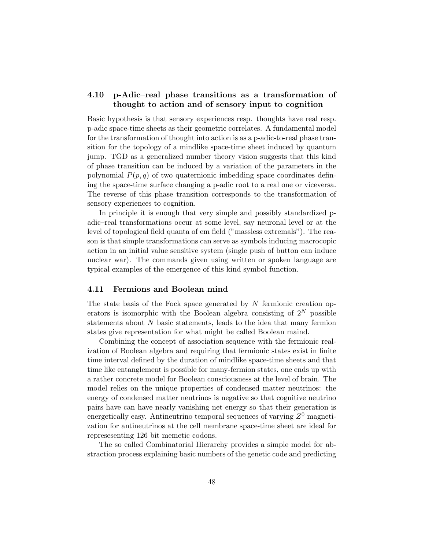## 4.10 p-Adic–real phase transitions as a transformation of thought to action and of sensory input to cognition

Basic hypothesis is that sensory experiences resp. thoughts have real resp. p-adic space-time sheets as their geometric correlates. A fundamental model for the transformation of thought into action is as a p-adic-to-real phase transition for the topology of a mindlike space-time sheet induced by quantum jump. TGD as a generalized number theory vision suggests that this kind of phase transition can be induced by a variation of the parameters in the polynomial  $P(p, q)$  of two quaternionic imbedding space coordinates defining the space-time surface changing a p-adic root to a real one or viceversa. The reverse of this phase transition corresponds to the transformation of sensory experiences to cognition.

In principle it is enough that very simple and possibly standardized padic–real transformations occur at some level, say neuronal level or at the level of topological field quanta of em field ("massless extremals"). The reason is that simple transformations can serve as symbols inducing macrocopic action in an initial value sensitive system (single push of button can induce nuclear war). The commands given using written or spoken language are typical examples of the emergence of this kind symbol function.

## 4.11 Fermions and Boolean mind

The state basis of the Fock space generated by  $N$  fermionic creation operators is isomorphic with the Boolean algebra consisting of  $2^N$  possible statements about N basic statements, leads to the idea that many fermion states give representation for what might be called Boolean maind.

Combining the concept of association sequence with the fermionic realization of Boolean algebra and requiring that fermionic states exist in finite time interval defined by the duration of mindlike space-time sheets and that time like entanglement is possible for many-fermion states, one ends up with a rather concrete model for Boolean consciousness at the level of brain. The model relies on the unique properties of condensed matter neutrinos: the energy of condensed matter neutrinos is negative so that cognitive neutrino pairs have can have nearly vanishing net energy so that their generation is energetically easy. Antineutrino temporal sequences of varying  $Z^0$  magnetization for antineutrinos at the cell membrane space-time sheet are ideal for represesenting 126 bit memetic codons.

The so called Combinatorial Hierarchy provides a simple model for abstraction process explaining basic numbers of the genetic code and predicting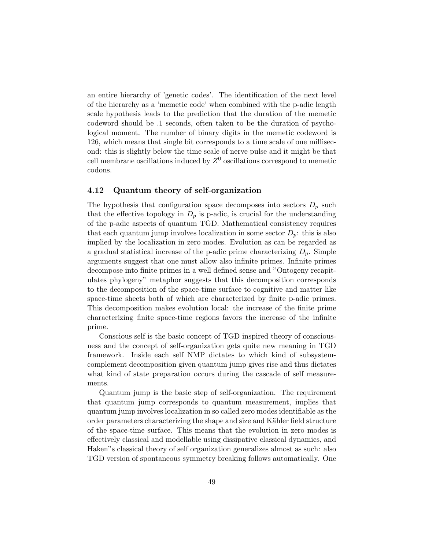an entire hierarchy of 'genetic codes'. The identification of the next level of the hierarchy as a 'memetic code' when combined with the p-adic length scale hypothesis leads to the prediction that the duration of the memetic codeword should be .1 seconds, often taken to be the duration of psychological moment. The number of binary digits in the memetic codeword is 126, which means that single bit corresponds to a time scale of one millisecond: this is slightly below the time scale of nerve pulse and it might be that cell membrane oscillations induced by  $Z^0$  oscillations correspond to memetic codons.

## 4.12 Quantum theory of self-organization

The hypothesis that configuration space decomposes into sectors  $D_p$  such that the effective topology in  $D_p$  is p-adic, is crucial for the understanding of the p-adic aspects of quantum TGD. Mathematical consistency requires that each quantum jump involves localization in some sector  $D_p$ : this is also implied by the localization in zero modes. Evolution as can be regarded as a gradual statistical increase of the p-adic prime characterizing  $D_p$ . Simple arguments suggest that one must allow also infinite primes. Infinite primes decompose into finite primes in a well defined sense and "Ontogeny recapitulates phylogeny" metaphor suggests that this decomposition corresponds to the decomposition of the space-time surface to cognitive and matter like space-time sheets both of which are characterized by finite p-adic primes. This decomposition makes evolution local: the increase of the finite prime characterizing finite space-time regions favors the increase of the infinite prime.

Conscious self is the basic concept of TGD inspired theory of consciousness and the concept of self-organization gets quite new meaning in TGD framework. Inside each self NMP dictates to which kind of subsystemcomplement decomposition given quantum jump gives rise and thus dictates what kind of state preparation occurs during the cascade of self measurements.

Quantum jump is the basic step of self-organization. The requirement that quantum jump corresponds to quantum measurement, implies that quantum jump involves localization in so called zero modes identifiable as the order parameters characterizing the shape and size and Kähler field structure of the space-time surface. This means that the evolution in zero modes is effectively classical and modellable using dissipative classical dynamics, and Haken"s classical theory of self organization generalizes almost as such: also TGD version of spontaneous symmetry breaking follows automatically. One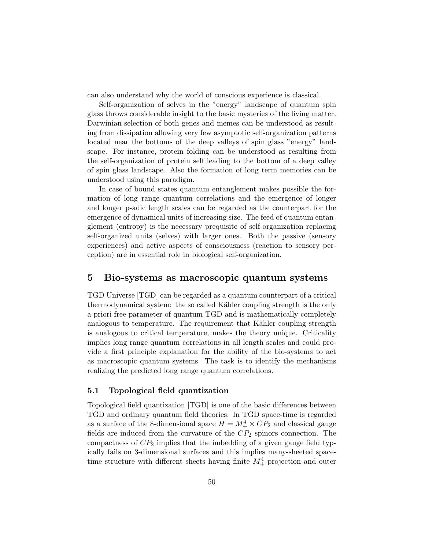can also understand why the world of conscious experience is classical.

Self-organization of selves in the "energy" landscape of quantum spin glass throws considerable insight to the basic mysteries of the living matter. Darwinian selection of both genes and memes can be understood as resulting from dissipation allowing very few asymptotic self-organization patterns located near the bottoms of the deep valleys of spin glass "energy" landscape. For instance, protein folding can be understood as resulting from the self-organization of protein self leading to the bottom of a deep valley of spin glass landscape. Also the formation of long term memories can be understood using this paradigm.

In case of bound states quantum entanglement makes possible the formation of long range quantum correlations and the emergence of longer and longer p-adic length scales can be regarded as the counterpart for the emergence of dynamical units of increasing size. The feed of quantum entanglement (entropy) is the necessary prequisite of self-organization replacing self-organized units (selves) with larger ones. Both the passive (sensory experiences) and active aspects of consciousness (reaction to sensory perception) are in essential role in biological self-organization.

## 5 Bio-systems as macroscopic quantum systems

TGD Universe [TGD] can be regarded as a quantum counterpart of a critical thermodynamical system: the so called Kähler coupling strength is the only a priori free parameter of quantum TGD and is mathematically completely analogous to temperature. The requirement that Kähler coupling strength is analogous to critical temperature, makes the theory unique. Criticality implies long range quantum correlations in all length scales and could provide a first principle explanation for the ability of the bio-systems to act as macroscopic quantum systems. The task is to identify the mechanisms realizing the predicted long range quantum correlations.

## 5.1 Topological field quantization

Topological field quantization [TGD] is one of the basic differences between TGD and ordinary quantum field theories. In TGD space-time is regarded as a surface of the 8-dimensional space  $H = M_{+}^{4} \times CP_{2}$  and classical gauge fields are induced from the curvature of the  $CP<sub>2</sub>$  spinors connection. The compactness of  $CP_2$  implies that the imbedding of a given gauge field typically fails on 3-dimensional surfaces and this implies many-sheeted spacetime structure with different sheets having finite  $M_{+}^{4}$ -projection and outer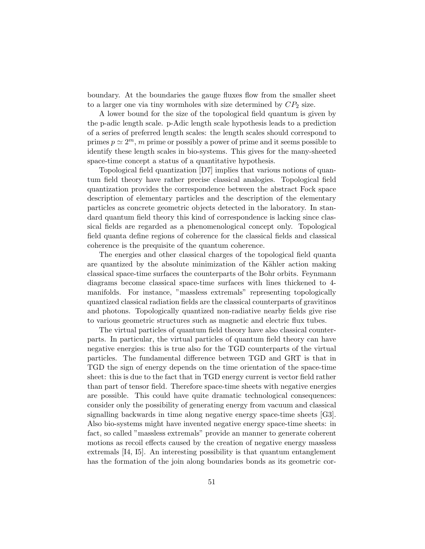boundary. At the boundaries the gauge fluxes flow from the smaller sheet to a larger one via tiny wormholes with size determined by  $CP_2$  size.

A lower bound for the size of the topological field quantum is given by the p-adic length scale. p-Adic length scale hypothesis leads to a prediction of a series of preferred length scales: the length scales should correspond to primes  $p \simeq 2^m$ , m prime or possibly a power of prime and it seems possible to identify these length scales in bio-systems. This gives for the many-sheeted space-time concept a status of a quantitative hypothesis.

Topological field quantization [D7] implies that various notions of quantum field theory have rather precise classical analogies. Topological field quantization provides the correspondence between the abstract Fock space description of elementary particles and the description of the elementary particles as concrete geometric objects detected in the laboratory. In standard quantum field theory this kind of correspondence is lacking since classical fields are regarded as a phenomenological concept only. Topological field quanta define regions of coherence for the classical fields and classical coherence is the prequisite of the quantum coherence.

The energies and other classical charges of the topological field quanta are quantized by the absolute minimization of the Kähler action making classical space-time surfaces the counterparts of the Bohr orbits. Feynmann diagrams become classical space-time surfaces with lines thickened to 4 manifolds. For instance, "massless extremals" representing topologically quantized classical radiation fields are the classical counterparts of gravitinos and photons. Topologically quantized non-radiative nearby fields give rise to various geometric structures such as magnetic and electric flux tubes.

The virtual particles of quantum field theory have also classical counterparts. In particular, the virtual particles of quantum field theory can have negative energies: this is true also for the TGD counterparts of the virtual particles. The fundamental difference between TGD and GRT is that in TGD the sign of energy depends on the time orientation of the space-time sheet: this is due to the fact that in TGD energy current is vector field rather than part of tensor field. Therefore space-time sheets with negative energies are possible. This could have quite dramatic technological consequences: consider only the possibility of generating energy from vacuum and classical signalling backwards in time along negative energy space-time sheets [G3]. Also bio-systems might have invented negative energy space-time sheets: in fact, so called "massless extremals" provide an manner to generate coherent motions as recoil effects caused by the creation of negative energy massless extremals [I4, I5]. An interesting possibility is that quantum entanglement has the formation of the join along boundaries bonds as its geometric cor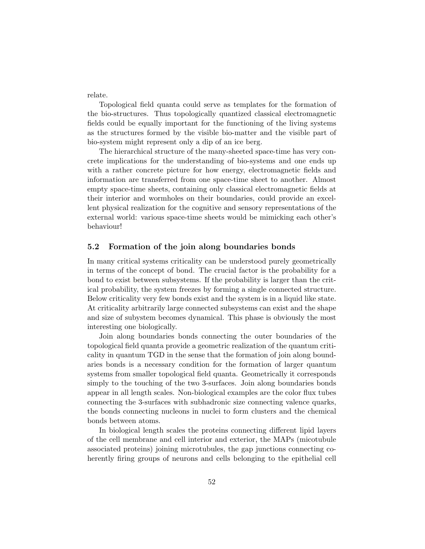relate.

Topological field quanta could serve as templates for the formation of the bio-structures. Thus topologically quantized classical electromagnetic fields could be equally important for the functioning of the living systems as the structures formed by the visible bio-matter and the visible part of bio-system might represent only a dip of an ice berg.

The hierarchical structure of the many-sheeted space-time has very concrete implications for the understanding of bio-systems and one ends up with a rather concrete picture for how energy, electromagnetic fields and information are transferred from one space-time sheet to another. Almost empty space-time sheets, containing only classical electromagnetic fields at their interior and wormholes on their boundaries, could provide an excellent physical realization for the cognitive and sensory representations of the external world: various space-time sheets would be mimicking each other's behaviour!

## 5.2 Formation of the join along boundaries bonds

In many critical systems criticality can be understood purely geometrically in terms of the concept of bond. The crucial factor is the probability for a bond to exist between subsystems. If the probability is larger than the critical probability, the system freezes by forming a single connected structure. Below criticality very few bonds exist and the system is in a liquid like state. At criticality arbitrarily large connected subsystems can exist and the shape and size of subystem becomes dynamical. This phase is obviously the most interesting one biologically.

Join along boundaries bonds connecting the outer boundaries of the topological field quanta provide a geometric realization of the quantum criticality in quantum TGD in the sense that the formation of join along boundaries bonds is a necessary condition for the formation of larger quantum systems from smaller topological field quanta. Geometrically it corresponds simply to the touching of the two 3-surfaces. Join along boundaries bonds appear in all length scales. Non-biological examples are the color flux tubes connecting the 3-surfaces with subhadronic size connecting valence quarks, the bonds connecting nucleons in nuclei to form clusters and the chemical bonds between atoms.

In biological length scales the proteins connecting different lipid layers of the cell membrane and cell interior and exterior, the MAPs (micotubule associated proteins) joining microtubules, the gap junctions connecting coherently firing groups of neurons and cells belonging to the epithelial cell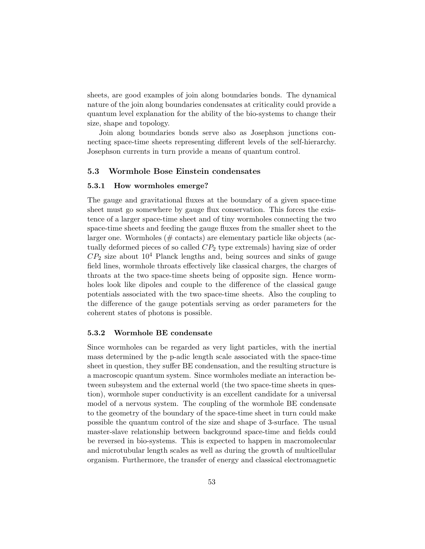sheets, are good examples of join along boundaries bonds. The dynamical nature of the join along boundaries condensates at criticality could provide a quantum level explanation for the ability of the bio-systems to change their size, shape and topology.

Join along boundaries bonds serve also as Josephson junctions connecting space-time sheets representing different levels of the self-hierarchy. Josephson currents in turn provide a means of quantum control.

## 5.3 Wormhole Bose Einstein condensates

#### 5.3.1 How wormholes emerge?

The gauge and gravitational fluxes at the boundary of a given space-time sheet must go somewhere by gauge flux conservation. This forces the existence of a larger space-time sheet and of tiny wormholes connecting the two space-time sheets and feeding the gauge fluxes from the smaller sheet to the larger one. Wormholes (# contacts) are elementary particle like objects (actually deformed pieces of so called  $CP<sub>2</sub>$  type extremals) having size of order  $CP_2$  size about  $10^4$  Planck lengths and, being sources and sinks of gauge field lines, wormhole throats effectively like classical charges, the charges of throats at the two space-time sheets being of opposite sign. Hence wormholes look like dipoles and couple to the difference of the classical gauge potentials associated with the two space-time sheets. Also the coupling to the difference of the gauge potentials serving as order parameters for the coherent states of photons is possible.

#### 5.3.2 Wormhole BE condensate

Since wormholes can be regarded as very light particles, with the inertial mass determined by the p-adic length scale associated with the space-time sheet in question, they suffer BE condensation, and the resulting structure is a macroscopic quantum system. Since wormholes mediate an interaction between subsystem and the external world (the two space-time sheets in question), wormhole super conductivity is an excellent candidate for a universal model of a nervous system. The coupling of the wormhole BE condensate to the geometry of the boundary of the space-time sheet in turn could make possible the quantum control of the size and shape of 3-surface. The usual master-slave relationship between background space-time and fields could be reversed in bio-systems. This is expected to happen in macromolecular and microtubular length scales as well as during the growth of multicellular organism. Furthermore, the transfer of energy and classical electromagnetic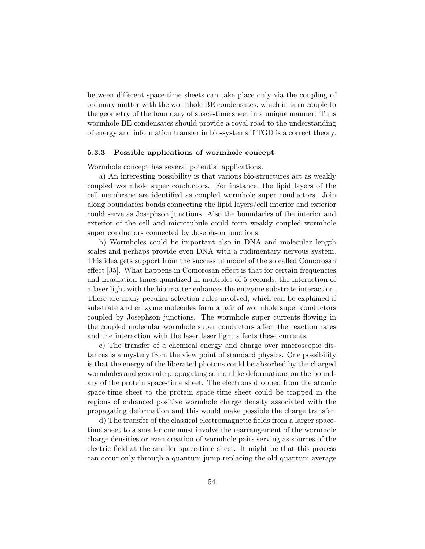between different space-time sheets can take place only via the coupling of ordinary matter with the wormhole BE condensates, which in turn couple to the geometry of the boundary of space-time sheet in a unique manner. Thus wormhole BE condensates should provide a royal road to the understanding of energy and information transfer in bio-systems if TGD is a correct theory.

## 5.3.3 Possible applications of wormhole concept

Wormhole concept has several potential applications.

a) An interesting possibility is that various bio-structures act as weakly coupled wormhole super conductors. For instance, the lipid layers of the cell membrane are identified as coupled wormhole super conductors. Join along boundaries bonds connecting the lipid layers/cell interior and exterior could serve as Josephson junctions. Also the boundaries of the interior and exterior of the cell and microtubule could form weakly coupled wormhole super conductors connected by Josephson junctions.

b) Wormholes could be important also in DNA and molecular length scales and perhaps provide even DNA with a rudimentary nervous system. This idea gets support from the successful model of the so called Comorosan effect [J5]. What happens in Comorosan effect is that for certain frequencies and irradiation times quantized in multiples of 5 seconds, the interaction of a laser light with the bio-matter enhances the entzyme substrate interaction. There are many peculiar selection rules involved, which can be explained if substrate and entzyme molecules form a pair of wormhole super conductors coupled by Josephson junctions. The wormhole super currents flowing in the coupled molecular wormhole super conductors affect the reaction rates and the interaction with the laser laser light affects these currents.

c) The transfer of a chemical energy and charge over macroscopic distances is a mystery from the view point of standard physics. One possibility is that the energy of the liberated photons could be absorbed by the charged wormholes and generate propagating soliton like deformations on the boundary of the protein space-time sheet. The electrons dropped from the atomic space-time sheet to the protein space-time sheet could be trapped in the regions of enhanced positive wormhole charge density associated with the propagating deformation and this would make possible the charge transfer.

d) The transfer of the classical electromagnetic fields from a larger spacetime sheet to a smaller one must involve the rearrangement of the wormhole charge densities or even creation of wormhole pairs serving as sources of the electric field at the smaller space-time sheet. It might be that this process can occur only through a quantum jump replacing the old quantum average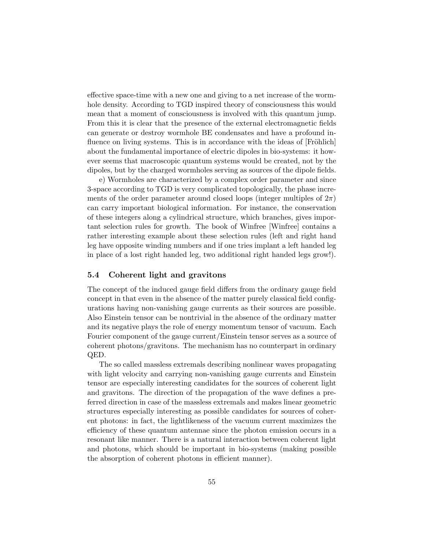effective space-time with a new one and giving to a net increase of the wormhole density. According to TGD inspired theory of consciousness this would mean that a moment of consciousness is involved with this quantum jump. From this it is clear that the presence of the external electromagnetic fields can generate or destroy wormhole BE condensates and have a profound influence on living systems. This is in accordance with the ideas of [Fröhlich] about the fundamental importance of electric dipoles in bio-systems: it however seems that macroscopic quantum systems would be created, not by the dipoles, but by the charged wormholes serving as sources of the dipole fields.

e) Wormholes are characterized by a complex order parameter and since 3-space according to TGD is very complicated topologically, the phase increments of the order parameter around closed loops (integer multiples of  $2\pi$ ) can carry important biological information. For instance, the conservation of these integers along a cylindrical structure, which branches, gives important selection rules for growth. The book of Winfree [Winfree] contains a rather interesting example about these selection rules (left and right hand leg have opposite winding numbers and if one tries implant a left handed leg in place of a lost right handed leg, two additional right handed legs grow!).

### 5.4 Coherent light and gravitons

The concept of the induced gauge field differs from the ordinary gauge field concept in that even in the absence of the matter purely classical field configurations having non-vanishing gauge currents as their sources are possible. Also Einstein tensor can be nontrivial in the absence of the ordinary matter and its negative plays the role of energy momentum tensor of vacuum. Each Fourier component of the gauge current/Einstein tensor serves as a source of coherent photons/gravitons. The mechanism has no counterpart in ordinary QED.

The so called massless extremals describing nonlinear waves propagating with light velocity and carrying non-vanishing gauge currents and Einstein tensor are especially interesting candidates for the sources of coherent light and gravitons. The direction of the propagation of the wave defines a preferred direction in case of the massless extremals and makes linear geometric structures especially interesting as possible candidates for sources of coherent photons: in fact, the lightlikeness of the vacuum current maximizes the efficiency of these quantum antennae since the photon emission occurs in a resonant like manner. There is a natural interaction between coherent light and photons, which should be important in bio-systems (making possible the absorption of coherent photons in efficient manner).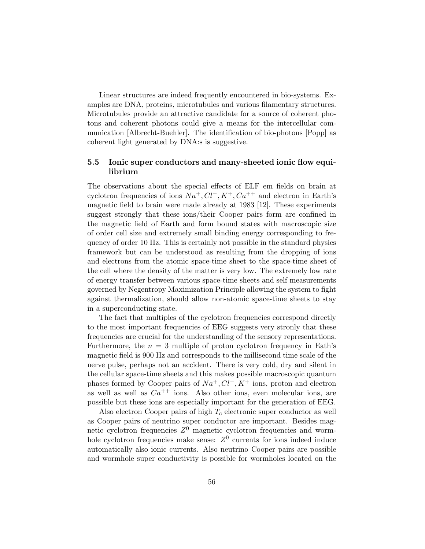Linear structures are indeed frequently encountered in bio-systems. Examples are DNA, proteins, microtubules and various filamentary structures. Microtubules provide an attractive candidate for a source of coherent photons and coherent photons could give a means for the intercellular communication [Albrecht-Buehler]. The identification of bio-photons [Popp] as coherent light generated by DNA:s is suggestive.

## 5.5 Ionic super conductors and many-sheeted ionic flow equilibrium

The observations about the special effects of ELF em fields on brain at cyclotron frequencies of ions  $Na^+, Cl^-, K^+, Ca^{++}$  and electron in Earth's magnetic field to brain were made already at 1983 [12]. These experiments suggest strongly that these ions/their Cooper pairs form are confined in the magnetic field of Earth and form bound states with macroscopic size of order cell size and extremely small binding energy corresponding to frequency of order 10 Hz. This is certainly not possible in the standard physics framework but can be understood as resulting from the dropping of ions and electrons from the atomic space-time sheet to the space-time sheet of the cell where the density of the matter is very low. The extremely low rate of energy transfer between various space-time sheets and self measurements governed by Negentropy Maximization Principle allowing the system to fight against thermalization, should allow non-atomic space-time sheets to stay in a superconducting state.

The fact that multiples of the cyclotron frequencies correspond directly to the most important frequencies of EEG suggests very stronly that these frequencies are crucial for the understanding of the sensory representations. Furthermore, the  $n = 3$  multiple of proton cyclotron frequency in Eath's magnetic field is 900 Hz and corresponds to the millisecond time scale of the nerve pulse, perhaps not an accident. There is very cold, dry and silent in the cellular space-time sheets and this makes possible macroscopic quantum phases formed by Cooper pairs of  $Na^+, Cl^-, K^+$  ions, proton and electron as well as well as  $Ca^{++}$  ions. Also other ions, even molecular ions, are possible but these ions are especially important for the generation of EEG.

Also electron Cooper pairs of high  $T_c$  electronic super conductor as well as Cooper pairs of neutrino super conductor are important. Besides magnetic cyclotron frequencies  $Z^0$  magnetic cyclotron frequencies and wormhole cyclotron frequencies make sense:  $Z<sup>0</sup>$  currents for ions indeed induce automatically also ionic currents. Also neutrino Cooper pairs are possible and wormhole super conductivity is possible for wormholes located on the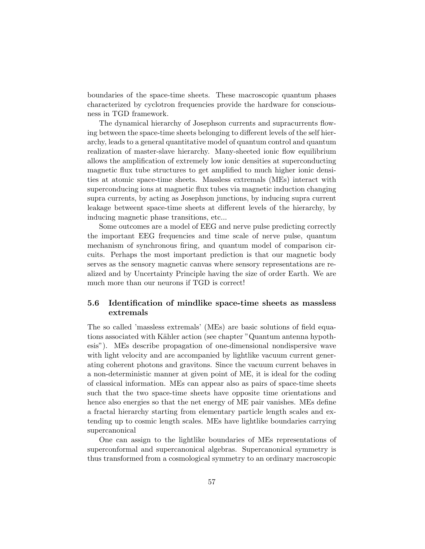boundaries of the space-time sheets. These macroscopic quantum phases characterized by cyclotron frequencies provide the hardware for consciousness in TGD framework.

The dynamical hierarchy of Josephson currents and supracurrents flowing between the space-time sheets belonging to different levels of the self hierarchy, leads to a general quantitative model of quantum control and quantum realization of master-slave hierarchy. Many-sheeted ionic flow equilibrium allows the amplification of extremely low ionic densities at superconducting magnetic flux tube structures to get amplified to much higher ionic densities at atomic space-time sheets. Massless extremals (MEs) interact with superconducing ions at magnetic flux tubes via magnetic induction changing supra currents, by acting as Josephson junctions, by inducing supra current leakage betweent space-time sheets at different levels of the hierarchy, by inducing magnetic phase transitions, etc...

Some outcomes are a model of EEG and nerve pulse predicting correctly the important EEG frequencies and time scale of nerve pulse, quantum mechanism of synchronous firing, and quantum model of comparison circuits. Perhaps the most important prediction is that our magnetic body serves as the sensory magnetic canvas where sensory representations are realized and by Uncertainty Principle having the size of order Earth. We are much more than our neurons if TGD is correct!

## 5.6 Identification of mindlike space-time sheets as massless extremals

The so called 'massless extremals' (MEs) are basic solutions of field equations associated with Kähler action (see chapter "Quantum antenna hypothesis"). MEs describe propagation of one-dimensional nondispersive wave with light velocity and are accompanied by lightlike vacuum current generating coherent photons and gravitons. Since the vacuum current behaves in a non-deterministic manner at given point of ME, it is ideal for the coding of classical information. MEs can appear also as pairs of space-time sheets such that the two space-time sheets have opposite time orientations and hence also energies so that the net energy of ME pair vanishes. MEs define a fractal hierarchy starting from elementary particle length scales and extending up to cosmic length scales. MEs have lightlike boundaries carrying supercanonical

One can assign to the lightlike boundaries of MEs representations of superconformal and supercanonical algebras. Supercanonical symmetry is thus transformed from a cosmological symmetry to an ordinary macroscopic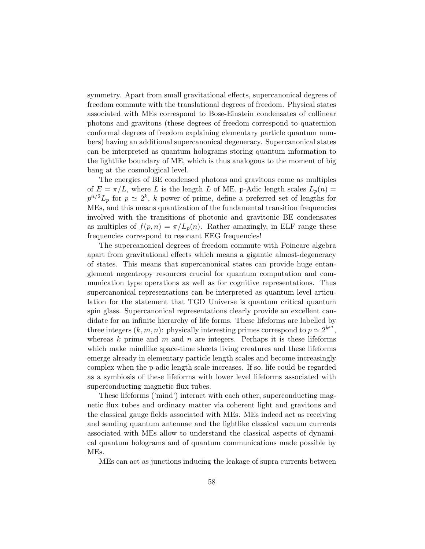symmetry. Apart from small gravitational effects, supercanonical degrees of freedom commute with the translational degrees of freedom. Physical states associated with MEs correspond to Bose-Einstein condensates of collinear photons and gravitons (these degrees of freedom correspond to quaternion conformal degrees of freedom explaining elementary particle quantum numbers) having an additional supercanonical degeneracy. Supercanonical states can be interpreted as quantum holograms storing quantum information to the lightlike boundary of ME, which is thus analogous to the moment of big bang at the cosmological level.

The energies of BE condensed photons and gravitons come as multiples of  $E = \pi/L$ , where L is the length L of ME. p-Adic length scales  $L_p(n)$  $p^{n/2}L_p$  for  $p \simeq 2^k$ , k power of prime, define a preferred set of lengths for MEs, and this means quantization of the fundamental transition frequencies involved with the transitions of photonic and gravitonic BE condensates as multiples of  $f(p,n) = \pi/L_p(n)$ . Rather amazingly, in ELF range these frequencies correspond to resonant EEG frequencies!

The supercanonical degrees of freedom commute with Poincare algebra apart from gravitational effects which means a gigantic almost-degeneracy of states. This means that supercanonical states can provide huge entanglement negentropy resources crucial for quantum computation and communication type operations as well as for cognitive representations. Thus supercanonical representations can be interpreted as quantum level articulation for the statement that TGD Universe is quantum critical quantum spin glass. Supercanonical representations clearly provide an excellent candidate for an infinite hierarchy of life forms. These lifeforms are labelled by three integers  $(k, m, n)$ : physically interesting primes correspond to  $p \simeq 2^{k^m}$ , whereas  $k$  prime and  $m$  and  $n$  are integers. Perhaps it is these lifeforms which make mindlike space-time sheets living creatures and these lifeforms emerge already in elementary particle length scales and become increasingly complex when the p-adic length scale increases. If so, life could be regarded as a symbiosis of these lifeforms with lower level lifeforms associated with superconducting magnetic flux tubes.

These lifeforms ('mind') interact with each other, superconducting magnetic flux tubes and ordinary matter via coherent light and gravitons and the classical gauge fields associated with MEs. MEs indeed act as receiving and sending quantum antennae and the lightlike classical vacuum currents associated with MEs allow to understand the classical aspects of dynamical quantum holograms and of quantum communications made possible by MEs.

MEs can act as junctions inducing the leakage of supra currents between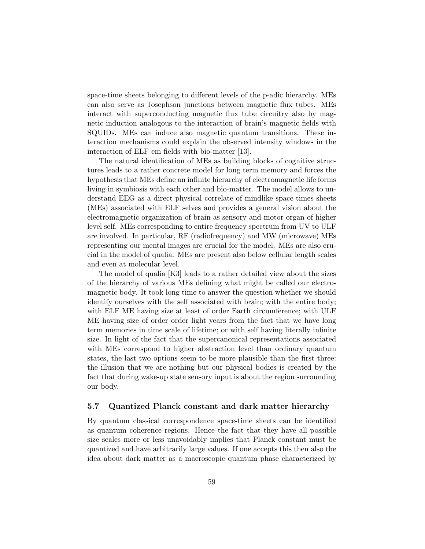space-time sheets belonging to different levels of the p-adic hierarchy. MEs can also serve as Josephson junctions between magnetic flux tubes. MEs interact with superconducting magnetic flux tube circuitry also by magnetic induction analogous to the interaction of brain's magnetic fields with SQUIDs. MEs can induce also magnetic quantum transitions. These interaction mechanisms could explain the observed intensity windows in the interaction of ELF em fields with bio-matter [13].

The natural identification of MEs as building blocks of cognitive structures leads to a rather concrete model for long term memory and forces the hypothesis that MEs define an infinite hierarchy of electromagnetic life forms living in symbiosis with each other and bio-matter. The model allows to understand EEG as a direct physical correlate of mindlike space-times sheets (MEs) associated with ELF selves and provides a general vision about the electromagnetic organization of brain as sensory and motor organ of higher level self. MEs corresponding to entire frequency spectrum from UV to ULF are involved. In particular, RF (radiofrequency) and MW (microwave) MEs representing our mental images are crucial for the model. MEs are also crucial in the model of qualia. MEs are present also below cellular length scales and even at molecular level.

The model of qualia [K3] leads to a rather detailed view about the sizes of the hierarchy of various MEs defining what might be called our electromagnetic body. It took long time to answer the question whether we should identify ourselves with the self associated with brain; with the entire body; with ELF ME having size at least of order Earth circumference; with ULF ME having size of order order light years from the fact that we have long term memories in time scale of lifetime; or with self having literally infinite size. In light of the fact that the supercanonical representations associated with MEs correspond to higher abstraction level than ordinary quantum states, the last two options seem to be more plausible than the first three: the illusion that we are nothing but our physical bodies is created by the fact that during wake-up state sensory input is about the region surrounding our body.

#### 5.7 Quantized Planck constant and dark matter hierarchy

By quantum classical correspondence space-time sheets can be identified as quantum coherence regions. Hence the fact that they have all possible size scales more or less unavoidably implies that Planck constant must be quantized and have arbitrarily large values. If one accepts this then also the idea about dark matter as a macroscopic quantum phase characterized by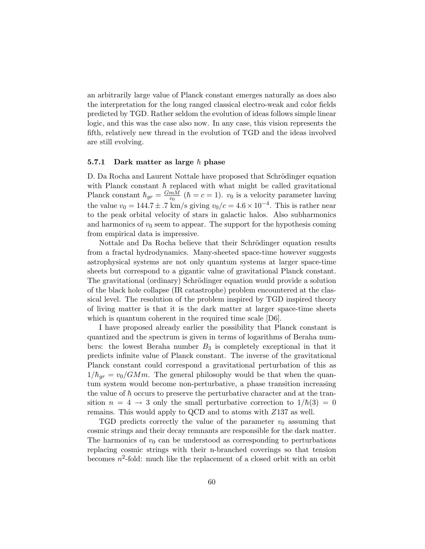an arbitrarily large value of Planck constant emerges naturally as does also the interpretation for the long ranged classical electro-weak and color fields predicted by TGD. Rather seldom the evolution of ideas follows simple linear logic, and this was the case also now. In any case, this vision represents the fifth, relatively new thread in the evolution of TGD and the ideas involved are still evolving.

#### 5.7.1 Dark matter as large  $\hbar$  phase

D. Da Rocha and Laurent Nottale have proposed that Schrödinger equation with Planck constant  $\hbar$  replaced with what might be called gravitational Planck constant  $\hbar_{gr} = \frac{GmM}{v_0}$  $\frac{mM}{v_0}$  ( $\hbar = c = 1$ ).  $v_0$  is a velocity parameter having the value  $v_0 = 144.7 \pm .7$  km/s giving  $v_0/c = 4.6 \times 10^{-4}$ . This is rather near to the peak orbital velocity of stars in galactic halos. Also subharmonics and harmonics of  $v_0$  seem to appear. The support for the hypothesis coming from empirical data is impressive.

Nottale and Da Rocha believe that their Schrödinger equation results from a fractal hydrodynamics. Many-sheeted space-time however suggests astrophysical systems are not only quantum systems at larger space-time sheets but correspond to a gigantic value of gravitational Planck constant. The gravitational (ordinary) Schrödinger equation would provide a solution of the black hole collapse (IR catastrophe) problem encountered at the classical level. The resolution of the problem inspired by TGD inspired theory of living matter is that it is the dark matter at larger space-time sheets which is quantum coherent in the required time scale [D6].

I have proposed already earlier the possibility that Planck constant is quantized and the spectrum is given in terms of logarithms of Beraha numbers: the lowest Beraha number  $B_3$  is completely exceptional in that it predicts infinite value of Planck constant. The inverse of the gravitational Planck constant could correspond a gravitational perturbation of this as  $1/\hbar_{gr} = v_0/GMm$ . The general philosophy would be that when the quantum system would become non-perturbative, a phase transition increasing the value of  $\hbar$  occurs to preserve the perturbative character and at the transition  $n = 4 \rightarrow 3$  only the small perturbative correction to  $1/\hbar(3) = 0$ remains. This would apply to QCD and to atoms with Z137 as well.

TGD predicts correctly the value of the parameter  $v_0$  assuming that cosmic strings and their decay remnants are responsible for the dark matter. The harmonics of  $v_0$  can be understood as corresponding to perturbations replacing cosmic strings with their n-branched coverings so that tension becomes  $n^2$ -fold: much like the replacement of a closed orbit with an orbit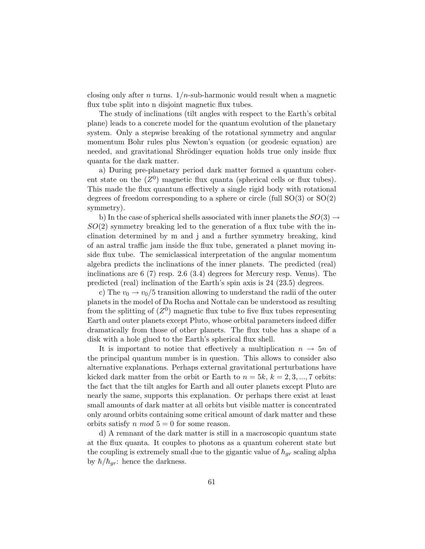closing only after *n* turns.  $1/n$ -sub-harmonic would result when a magnetic flux tube split into n disjoint magnetic flux tubes.

The study of inclinations (tilt angles with respect to the Earth's orbital plane) leads to a concrete model for the quantum evolution of the planetary system. Only a stepwise breaking of the rotational symmetry and angular momentum Bohr rules plus Newton's equation (or geodesic equation) are needed, and gravitational Shrödinger equation holds true only inside flux quanta for the dark matter.

a) During pre-planetary period dark matter formed a quantum coherent state on the  $(Z^0)$  magnetic flux quanta (spherical cells or flux tubes). This made the flux quantum effectively a single rigid body with rotational degrees of freedom corresponding to a sphere or circle (full  $SO(3)$  or  $SO(2)$ ) symmetry).

b) In the case of spherical shells associated with inner planets the  $SO(3) \rightarrow$  $SO(2)$  symmetry breaking led to the generation of a flux tube with the inclination determined by m and j and a further symmetry breaking, kind of an astral traffic jam inside the flux tube, generated a planet moving inside flux tube. The semiclassical interpretation of the angular momentum algebra predicts the inclinations of the inner planets. The predicted (real) inclinations are 6 (7) resp. 2.6 (3.4) degrees for Mercury resp. Venus). The predicted (real) inclination of the Earth's spin axis is 24 (23.5) degrees.

c) The  $v_0 \rightarrow v_0/5$  transition allowing to understand the radii of the outer planets in the model of Da Rocha and Nottale can be understood as resulting from the splitting of  $(Z^0)$  magnetic flux tube to five flux tubes representing Earth and outer planets except Pluto, whose orbital parameters indeed differ dramatically from those of other planets. The flux tube has a shape of a disk with a hole glued to the Earth's spherical flux shell.

It is important to notice that effectively a multiplication  $n \to 5n$  of the principal quantum number is in question. This allows to consider also alternative explanations. Perhaps external gravitational perturbations have kicked dark matter from the orbit or Earth to  $n = 5k, k = 2, 3, ..., 7$  orbits: the fact that the tilt angles for Earth and all outer planets except Pluto are nearly the same, supports this explanation. Or perhaps there exist at least small amounts of dark matter at all orbits but visible matter is concentrated only around orbits containing some critical amount of dark matter and these orbits satisfy n mod  $5 = 0$  for some reason.

d) A remnant of the dark matter is still in a macroscopic quantum state at the flux quanta. It couples to photons as a quantum coherent state but the coupling is extremely small due to the gigantic value of  $\hbar_{qr}$  scaling alpha by  $\hbar/\hbar_{qr}$ : hence the darkness.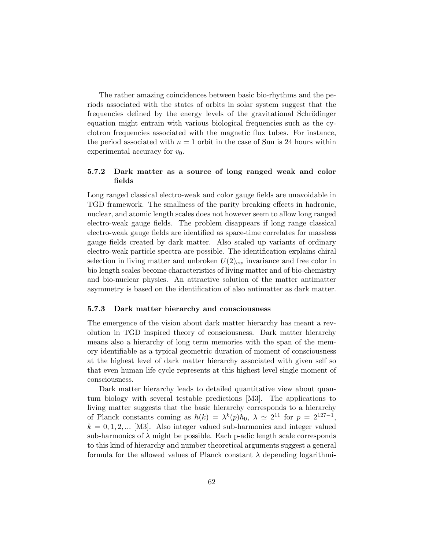The rather amazing coincidences between basic bio-rhythms and the periods associated with the states of orbits in solar system suggest that the frequencies defined by the energy levels of the gravitational Schrödinger equation might entrain with various biological frequencies such as the cyclotron frequencies associated with the magnetic flux tubes. For instance, the period associated with  $n = 1$  orbit in the case of Sun is 24 hours within experimental accuracy for  $v_0$ .

## 5.7.2 Dark matter as a source of long ranged weak and color fields

Long ranged classical electro-weak and color gauge fields are unavoidable in TGD framework. The smallness of the parity breaking effects in hadronic, nuclear, and atomic length scales does not however seem to allow long ranged electro-weak gauge fields. The problem disappears if long range classical electro-weak gauge fields are identified as space-time correlates for massless gauge fields created by dark matter. Also scaled up variants of ordinary electro-weak particle spectra are possible. The identification explains chiral selection in living matter and unbroken  $U(2)_{ew}$  invariance and free color in bio length scales become characteristics of living matter and of bio-chemistry and bio-nuclear physics. An attractive solution of the matter antimatter asymmetry is based on the identification of also antimatter as dark matter.

#### 5.7.3 Dark matter hierarchy and consciousness

The emergence of the vision about dark matter hierarchy has meant a revolution in TGD inspired theory of consciousness. Dark matter hierarchy means also a hierarchy of long term memories with the span of the memory identifiable as a typical geometric duration of moment of consciousness at the highest level of dark matter hierarchy associated with given self so that even human life cycle represents at this highest level single moment of consciousness.

Dark matter hierarchy leads to detailed quantitative view about quantum biology with several testable predictions [M3]. The applications to living matter suggests that the basic hierarchy corresponds to a hierarchy of Planck constants coming as  $\hbar(k) = \lambda^k(p)\hbar_0$ ,  $\lambda \simeq 2^{11}$  for  $p = 2^{127-1}$ ,  $k = 0, 1, 2, \dots$  [M3]. Also integer valued sub-harmonics and integer valued sub-harmonics of  $\lambda$  might be possible. Each p-adic length scale corresponds to this kind of hierarchy and number theoretical arguments suggest a general formula for the allowed values of Planck constant  $\lambda$  depending logarithmi-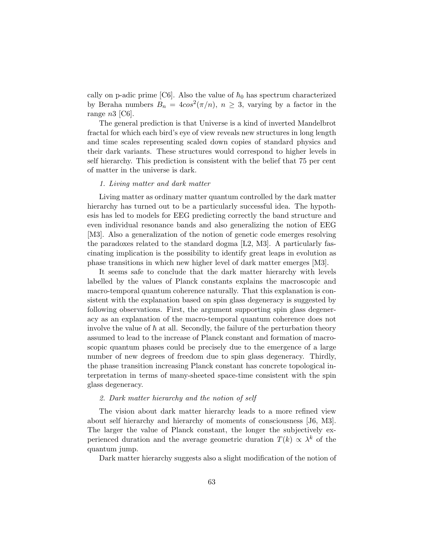cally on p-adic prime [C6]. Also the value of  $\hbar_0$  has spectrum characterized by Beraha numbers  $B_n = 4\cos^2(\pi/n)$ ,  $n \geq 3$ , varying by a factor in the range  $n3$  [C6].

The general prediction is that Universe is a kind of inverted Mandelbrot fractal for which each bird's eye of view reveals new structures in long length and time scales representing scaled down copies of standard physics and their dark variants. These structures would correspond to higher levels in self hierarchy. This prediction is consistent with the belief that 75 per cent of matter in the universe is dark.

#### 1. Living matter and dark matter

Living matter as ordinary matter quantum controlled by the dark matter hierarchy has turned out to be a particularly successful idea. The hypothesis has led to models for EEG predicting correctly the band structure and even individual resonance bands and also generalizing the notion of EEG [M3]. Also a generalization of the notion of genetic code emerges resolving the paradoxes related to the standard dogma [L2, M3]. A particularly fascinating implication is the possibility to identify great leaps in evolution as phase transitions in which new higher level of dark matter emerges [M3].

It seems safe to conclude that the dark matter hierarchy with levels labelled by the values of Planck constants explains the macroscopic and macro-temporal quantum coherence naturally. That this explanation is consistent with the explanation based on spin glass degeneracy is suggested by following observations. First, the argument supporting spin glass degeneracy as an explanation of the macro-temporal quantum coherence does not involve the value of  $\hbar$  at all. Secondly, the failure of the perturbation theory assumed to lead to the increase of Planck constant and formation of macroscopic quantum phases could be precisely due to the emergence of a large number of new degrees of freedom due to spin glass degeneracy. Thirdly, the phase transition increasing Planck constant has concrete topological interpretation in terms of many-sheeted space-time consistent with the spin glass degeneracy.

#### 2. Dark matter hierarchy and the notion of self

The vision about dark matter hierarchy leads to a more refined view about self hierarchy and hierarchy of moments of consciousness [J6, M3]. The larger the value of Planck constant, the longer the subjectively experienced duration and the average geometric duration  $T(k) \propto \lambda^k$  of the quantum jump.

Dark matter hierarchy suggests also a slight modification of the notion of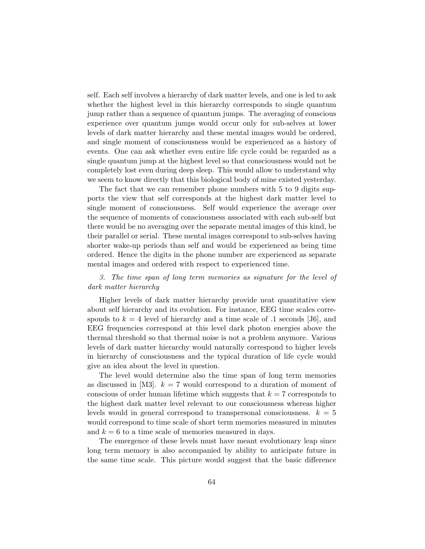self. Each self involves a hierarchy of dark matter levels, and one is led to ask whether the highest level in this hierarchy corresponds to single quantum jump rather than a sequence of quantum jumps. The averaging of conscious experience over quantum jumps would occur only for sub-selves at lower levels of dark matter hierarchy and these mental images would be ordered, and single moment of consciousness would be experienced as a history of events. One can ask whether even entire life cycle could be regarded as a single quantum jump at the highest level so that consciousness would not be completely lost even during deep sleep. This would allow to understand why we seem to know directly that this biological body of mine existed yesterday.

The fact that we can remember phone numbers with 5 to 9 digits supports the view that self corresponds at the highest dark matter level to single moment of consciousness. Self would experience the average over the sequence of moments of consciousness associated with each sub-self but there would be no averaging over the separate mental images of this kind, be their parallel or serial. These mental images correspond to sub-selves having shorter wake-up periods than self and would be experienced as being time ordered. Hence the digits in the phone number are experienced as separate mental images and ordered with respect to experienced time.

## 3. The time span of long term memories as signature for the level of dark matter hierarchy

Higher levels of dark matter hierarchy provide neat quantitative view about self hierarchy and its evolution. For instance, EEG time scales corresponds to  $k = 4$  level of hierarchy and a time scale of .1 seconds [J6], and EEG frequencies correspond at this level dark photon energies above the thermal threshold so that thermal noise is not a problem anymore. Various levels of dark matter hierarchy would naturally correspond to higher levels in hierarchy of consciousness and the typical duration of life cycle would give an idea about the level in question.

The level would determine also the time span of long term memories as discussed in [M3].  $k = 7$  would correspond to a duration of moment of conscious of order human lifetime which suggests that  $k = 7$  corresponds to the highest dark matter level relevant to our consciousness whereas higher levels would in general correspond to transpersonal consciousness.  $k = 5$ would correspond to time scale of short term memories measured in minutes and  $k = 6$  to a time scale of memories measured in days.

The emergence of these levels must have meant evolutionary leap since long term memory is also accompanied by ability to anticipate future in the same time scale. This picture would suggest that the basic difference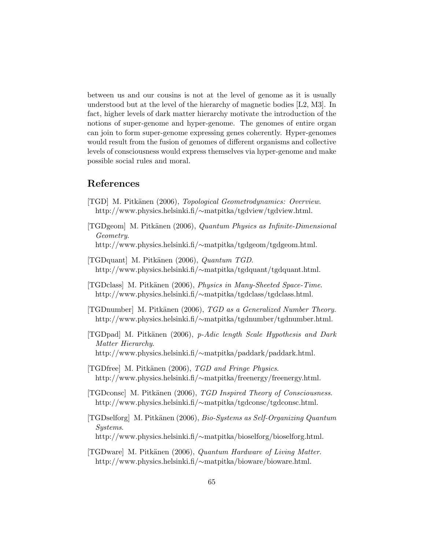between us and our cousins is not at the level of genome as it is usually understood but at the level of the hierarchy of magnetic bodies [L2, M3]. In fact, higher levels of dark matter hierarchy motivate the introduction of the notions of super-genome and hyper-genome. The genomes of entire organ can join to form super-genome expressing genes coherently. Hyper-genomes would result from the fusion of genomes of different organisms and collective levels of consciousness would express themselves via hyper-genome and make possible social rules and moral.

# References

- [TGD] M. Pitkänen (2006), *Topological Geometrodynamics: Overview*. http://www.physics.helsinki.fi/∼matpitka/tgdview/tgdview.html.
- $[TGDgeom]$  M. Pitkänen (2006), Quantum Physics as Infinite-Dimensional Geometry. http://www.physics.helsinki.fi/∼matpitka/tgdgeom/tgdgeom.html.
- [TGDquant] M. Pitkänen (2006), Quantum TGD. http://www.physics.helsinki.fi/∼matpitka/tgdquant/tgdquant.html.
- [TGDclass] M. Pitkänen (2006), *Physics in Many-Sheeted Space-Time*. http://www.physics.helsinki.fi/∼matpitka/tgdclass/tgdclass.html.
- [TGDnumber] M. Pitk¨anen (2006), TGD as a Generalized Number Theory. http://www.physics.helsinki.fi/∼matpitka/tgdnumber/tgdnumber.html.
- [TGDpad] M. Pitkänen (2006), p-Adic length Scale Hypothesis and Dark Matter Hierarchy. http://www.physics.helsinki.fi/∼matpitka/paddark/paddark.html.
- [TGDfree] M. Pitkänen (2006), TGD and Fringe Physics. http://www.physics.helsinki.fi/∼matpitka/freenergy/freenergy.html.
- [TGDconsc] M. Pitk¨anen (2006), TGD Inspired Theory of Consciousness. http://www.physics.helsinki.fi/∼matpitka/tgdconsc/tgdconsc.html.
- $[TGDselforg] M. Pitkänen (2006), *Bio-Systems as Self-Organizing Quantum*$ Systems. http://www.physics.helsinki.fi/∼matpitka/bioselforg/bioselforg.html.
- [TGDware] M. Pitk¨anen (2006), Quantum Hardware of Living Matter. http://www.physics.helsinki.fi/∼matpitka/bioware/bioware.html.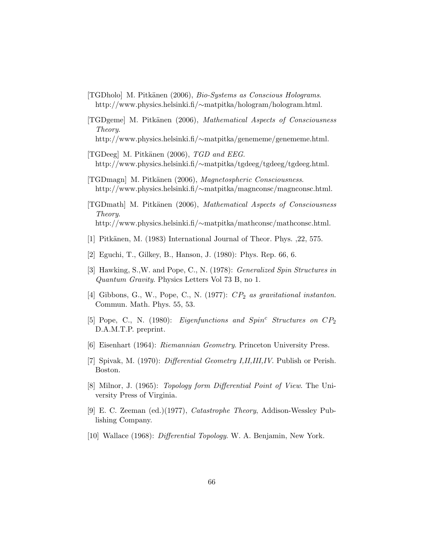- [TGDholo] M. Pitkänen (2006), Bio-Systems as Conscious Holograms. http://www.physics.helsinki.fi/∼matpitka/hologram/hologram.html.
- [TGDgeme] M. Pitk¨anen (2006), Mathematical Aspects of Consciousness Theory.
	- http://www.physics.helsinki.fi/∼matpitka/genememe/genememe.html.
- [TGDeeg] M. Pitkänen  $(2006)$ , TGD and EEG. http://www.physics.helsinki.fi/∼matpitka/tgdeeg/tgdeeg/tgdeeg.html.
- [TGDmagn] M. Pitkänen (2006), Magnetospheric Consciousness. http://www.physics.helsinki.fi/∼matpitka/magnconsc/magnconsc.html.
- [TGDmath] M. Pitk¨anen (2006), Mathematical Aspects of Consciousness Theory. http://www.physics.helsinki.fi/∼matpitka/mathconsc/mathconsc.html.
- [1] Pitkänen, M. (1983) International Journal of Theor. Phys. , 22, 575.
- [2] Eguchi, T., Gilkey, B., Hanson, J. (1980): Phys. Rep. 66, 6.
- [3] Hawking, S.,W. and Pope, C., N. (1978): Generalized Spin Structures in Quantum Gravity. Physics Letters Vol 73 B, no 1.
- [4] Gibbons, G., W., Pope, C., N. (1977):  $CP_2$  as gravitational instanton. Commun. Math. Phys. 55, 53.
- [5] Pope, C., N. (1980): *Eigenfunctions and Spin<sup>c</sup> Structures on*  $CP_2$ D.A.M.T.P. preprint.
- [6] Eisenhart (1964): Riemannian Geometry. Princeton University Press.
- [7] Spivak, M. (1970): Differential Geometry I,II,III,IV. Publish or Perish. Boston.
- [8] Milnor, J. (1965): Topology form Differential Point of View. The University Press of Virginia.
- [9] E. C. Zeeman (ed.)(1977), Catastrophe Theory, Addison-Wessley Publishing Company.
- [10] Wallace (1968): *Differential Topology*. W. A. Benjamin, New York.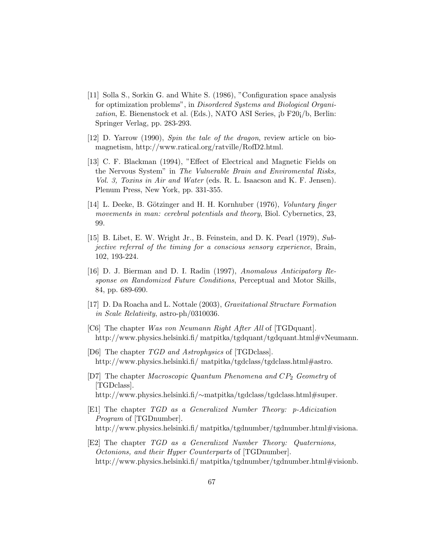- [11] Solla S., Sorkin G. and White S. (1986), "Configuration space analysis for optimization problems", in Disordered Systems and Biological Organization, E. Bienenstock et al. (Eds.), NATO ASI Series, *ib F20i*/b, Berlin: Springer Verlag, pp. 283-293.
- [12] D. Yarrow (1990), Spin the tale of the dragon, review article on biomagnetism, http://www.ratical.org/ratville/RofD2.html.
- [13] C. F. Blackman (1994), "Effect of Electrical and Magnetic Fields on the Nervous System" in The Vulnerable Brain and Enviromental Risks, Vol. 3, Toxins in Air and Water (eds. R. L. Isaacson and K. F. Jensen). Plenum Press, New York, pp. 331-355.
- [14] L. Deeke, B. Götzinger and H. H. Kornhuber (1976), Voluntary finger movements in man: cerebral potentials and theory, Biol. Cybernetics, 23, 99.
- [15] B. Libet, E. W. Wright Jr., B. Feinstein, and D. K. Pearl (1979), Subjective referral of the timing for a conscious sensory experience, Brain, 102, 193-224.
- [16] D. J. Bierman and D. I. Radin (1997), Anomalous Anticipatory Response on Randomized Future Conditions, Perceptual and Motor Skills, 84, pp. 689-690.
- [17] D. Da Roacha and L. Nottale (2003), Gravitational Structure Formation in Scale Relativity, astro-ph/0310036.
- [C6] The chapter Was von Neumann Right After All of [TGDquant]. http://www.physics.helsinki.fi/ matpitka/tgdquant/tgdquant.html#vNeumann.
- [D6] The chapter TGD and Astrophysics of [TGDclass]. http://www.physics.helsinki.fi/ matpitka/tgdclass/tgdclass.html#astro.
- [D7] The chapter *Macroscopic Quantum Phenomena and CP*<sub>2</sub> Geometry of [TGDclass]. http://www.physics.helsinki.fi/∼matpitka/tgdclass/tgdclass.html#super.
- [E1] The chapter TGD as a Generalized Number Theory: p-Adicization Program of [TGDnumber]. http://www.physics.helsinki.fi/ matpitka/tgdnumber/tgdnumber.html#visiona.
- [E2] The chapter TGD as a Generalized Number Theory: Quaternions, Octonions, and their Hyper Counterparts of [TGDnumber]. http://www.physics.helsinki.fi/matpitka/tgdnumber/tgdnumber.html#visionb.